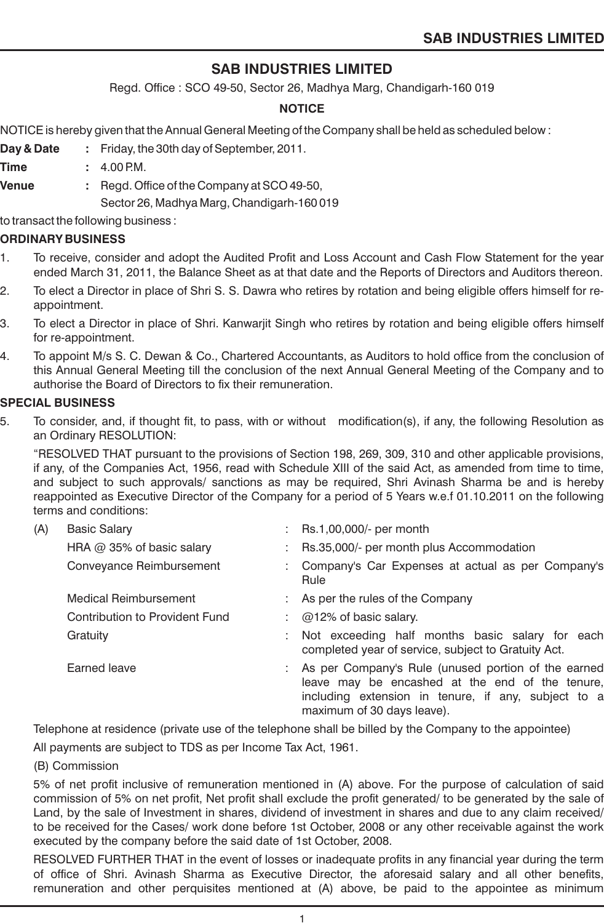Regd. Office : SCO 49-50, Sector 26, Madhya Marg, Chandigarh-160 019

# **NOTICE**

NOTICE is hereby given that the Annual General Meeting of the Company shall be held as scheduled below :

- **Day & Date :** Friday, the 30th day of September, 2011.
- **Time** : 4.00 P.M.
- **Venue :** Regd. Office of the Company at SCO 49-50, Sector 26, Madhya Marg, Chandigarh-160 019

to transact the following business :

#### **ORDINARY BUSINESS**

- 1. To receive, consider and adopt the Audited Profit and Loss Account and Cash Flow Statement for the year ended March 31, 2011, the Balance Sheet as at that date and the Reports of Directors and Auditors thereon.
- 2. To elect a Director in place of Shri S. S. Dawra who retires by rotation and being eligible offers himself for reappointment.
- 3. To elect a Director in place of Shri. Kanwarjit Singh who retires by rotation and being eligible offers himself for re-appointment.
- 4. To appoint M/s S. C. Dewan & Co., Chartered Accountants, as Auditors to hold office from the conclusion of this Annual General Meeting till the conclusion of the next Annual General Meeting of the Company and to authorise the Board of Directors to fix their remuneration.

#### **SPECIAL BUSINESS**

5. To consider, and, if thought fit, to pass, with or without modification(s), if any, the following Resolution as an Ordinary RESOLUTION:

"RESOLVED THAT pursuant to the provisions of Section 198, 269, 309, 310 and other applicable provisions, if any, of the Companies Act, 1956, read with Schedule XIII of the said Act, as amended from time to time, and subject to such approvals/ sanctions as may be required, Shri Avinash Sharma be and is hereby reappointed as Executive Director of the Company for a period of 5 Years w.e.f 01.10.2011 on the following terms and conditions:

| (A) | <b>Basic Salary</b>            | : Rs.1,00,000/- per month                                                                                                                                                                     |
|-----|--------------------------------|-----------------------------------------------------------------------------------------------------------------------------------------------------------------------------------------------|
|     | HRA $@$ 35% of basic salary    | : Rs.35,000/- per month plus Accommodation                                                                                                                                                    |
|     | Conveyance Reimbursement       | : Company's Car Expenses at actual as per Company's<br>Rule                                                                                                                                   |
|     | Medical Reimbursement          | : As per the rules of the Company                                                                                                                                                             |
|     | Contribution to Provident Fund | $\therefore$ @12% of basic salary.                                                                                                                                                            |
|     | Gratuity                       | Not exceeding half months basic salary for each<br>completed year of service, subject to Gratuity Act.                                                                                        |
|     | Earned leave                   | : As per Company's Rule (unused portion of the earned<br>leave may be encashed at the end of the tenure,<br>including extension in tenure, if any, subject to a<br>maximum of 30 days leave). |

Telephone at residence (private use of the telephone shall be billed by the Company to the appointee)

All payments are subject to TDS as per Income Tax Act, 1961.

(B) Commission

5% of net profit inclusive of remuneration mentioned in (A) above. For the purpose of calculation of said commission of 5% on net profit, Net profit shall exclude the profit generated/ to be generated by the sale of Land, by the sale of Investment in shares, dividend of investment in shares and due to any claim received/ to be received for the Cases/ work done before 1st October, 2008 or any other receivable against the work executed by the company before the said date of 1st October, 2008.

RESOLVED FURTHER THAT in the event of losses or inadequate profits in any financial year during the term of office of Shri. Avinash Sharma as Executive Director, the aforesaid salary and all other benefits, remuneration and other perquisites mentioned at (A) above, be paid to the appointee as minimum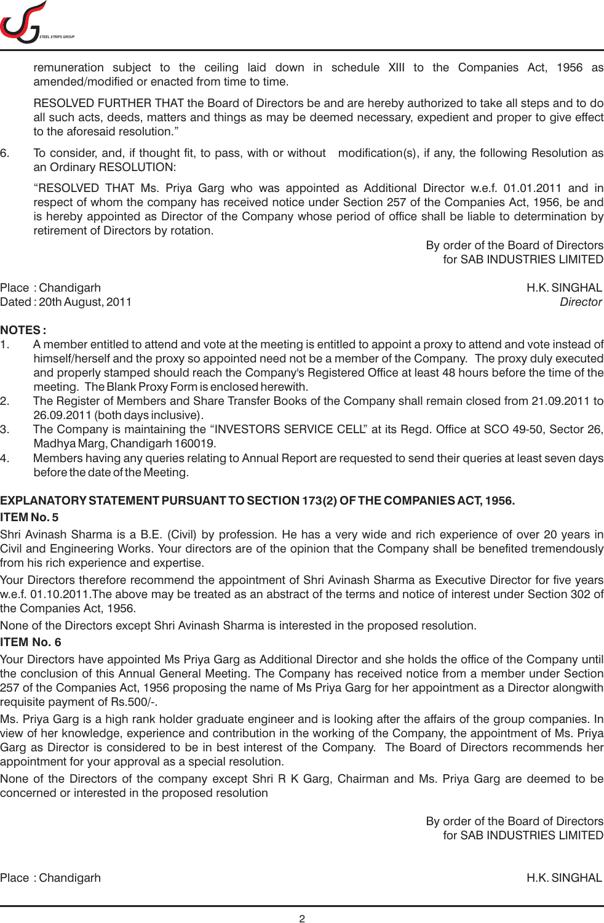

remuneration subject to the ceiling laid down in schedule XIII to the Companies Act, 1956 as amended/modified or enacted from time to time.

RESOLVED FURTHER THAT the Board of Directors be and are hereby authorized to take all steps and to do all such acts, deeds, matters and things as may be deemed necessary, expedient and proper to give effect to the aforesaid resolution."

6. To consider, and, if thought fit, to pass, with or without modification(s), if any, the following Resolution as an Ordinary RESOLUTION:

"RESOLVED THAT Ms. Priya Garg who was appointed as Additional Director w.e.f. 01.01.2011 and in respect of whom the company has received notice under Section 257 of the Companies Act, 1956, be and is hereby appointed as Director of the Company whose period of office shall be liable to determination by retirement of Directors by rotation.

> By order of the Board of Directors for SAB INDUSTRIES LIMITED

Place : Chandigarh H.K. SINGHAL Dated : 20th August, 2011 *Director*

# **NOTES :**

- 1. A member entitled to attend and vote at the meeting is entitled to appoint a proxy to attend and vote instead of himself/herself and the proxy so appointed need not be a member of the Company. The proxy duly executed and properly stamped should reach the Company's Registered Office at least 48 hours before the time of the meeting. The Blank Proxy Form is enclosed herewith.
- 2. The Register of Members and Share Transfer Books of the Company shall remain closed from 21.09.2011 to 26.09.2011 (both days inclusive).
- 3. The Company is maintaining the "INVESTORS SERVICE CELL" at its Regd. Office at SCO 49-50, Sector 26, Madhya Marg, Chandigarh 160019.
- 4. Members having any queries relating to Annual Report are requested to send their queries at least seven days before the date of the Meeting.

# **EXPLANATORY STATEMENT PURSUANT TO SECTION 173(2) OF THE COMPANIES ACT, 1956.**

# **ITEM No. 5**

Shri Avinash Sharma is a B.E. (Civil) by profession. He has a very wide and rich experience of over 20 years in Civil and Engineering Works. Your directors are of the opinion that the Company shall be benefited tremendously from his rich experience and expertise.

Your Directors therefore recommend the appointment of Shri Avinash Sharma as Executive Director for five years w.e.f. 01.10.2011.The above may be treated as an abstract of the terms and notice of interest under Section 302 of the Companies Act, 1956.

None of the Directors except Shri Avinash Sharma is interested in the proposed resolution.

# **ITEM No. 6**

Your Directors have appointed Ms Priya Garg as Additional Director and she holds the office of the Company until the conclusion of this Annual General Meeting. The Company has received notice from a member under Section 257 of the Companies Act, 1956 proposing the name of Ms Priya Garg for her appointment as a Director alongwith requisite payment of Rs.500/-.

Ms. Priya Garg is a high rank holder graduate engineer and is looking after the affairs of the group companies. In view of her knowledge, experience and contribution in the working of the Company, the appointment of Ms. Priya Garg as Director is considered to be in best interest of the Company. The Board of Directors recommends her appointment for your approval as a special resolution.

None of the Directors of the company except Shri R K Garg, Chairman and Ms. Priya Garg are deemed to be concerned or interested in the proposed resolution

> By order of the Board of Directors for SAB INDUSTRIES LIMITED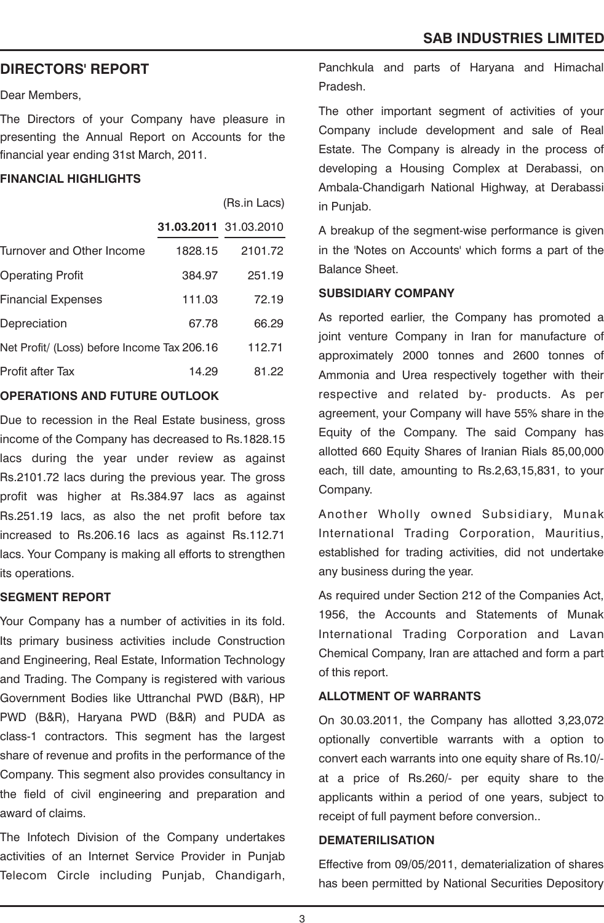# **DIRECTORS' REPORT**

Dear Members,

The Directors of your Company have pleasure in presenting the Annual Report on Accounts for the financial year ending 31st March, 2011.

#### **FINANCIAL HIGHLIGHTS**

|                                             |                       | (Rs.in Lacs) |
|---------------------------------------------|-----------------------|--------------|
|                                             | 31.03.2011 31.03.2010 |              |
| Turnover and Other Income                   | 1828.15               | 2101.72      |
| <b>Operating Profit</b>                     | 384.97                | 251.19       |
| Financial Expenses                          | 111.03                | 72.19        |
| Depreciation                                | 67.78                 | 66.29        |
| Net Profit/ (Loss) before Income Tax 206.16 |                       | 112.71       |
| <b>Profit after Tax</b>                     | 14.29                 | 81.22        |

# **OPERATIONS AND FUTURE OUTLOOK**

Due to recession in the Real Estate business, gross income of the Company has decreased to Rs.1828.15 lacs during the year under review as against Rs.2101.72 lacs during the previous year. The gross profit was higher at Rs.384.97 lacs as against Rs.251.19 lacs, as also the net profit before tax increased to Rs.206.16 lacs as against Rs.112.71 lacs. Your Company is making all efforts to strengthen its operations.

# **SEGMENT REPORT**

Your Company has a number of activities in its fold. Its primary business activities include Construction and Engineering, Real Estate, Information Technology and Trading. The Company is registered with various Government Bodies like Uttranchal PWD (B&R), HP PWD (B&R), Haryana PWD (B&R) and PUDA as class-1 contractors. This segment has the largest share of revenue and profits in the performance of the Company. This segment also provides consultancy in the field of civil engineering and preparation and award of claims.

The Infotech Division of the Company undertakes activities of an Internet Service Provider in Punjab Telecom Circle including Punjab, Chandigarh, Panchkula and parts of Haryana and Himachal Pradesh.

The other important segment of activities of your Company include development and sale of Real Estate. The Company is already in the process of developing a Housing Complex at Derabassi, on Ambala-Chandigarh National Highway, at Derabassi in Punjab.

A breakup of the segment-wise performance is given in the 'Notes on Accounts' which forms a part of the Balance Sheet.

#### **SUBSIDIARY COMPANY**

As reported earlier, the Company has promoted a joint venture Company in Iran for manufacture of approximately 2000 tonnes and 2600 tonnes of Ammonia and Urea respectively together with their respective and related by- products. As per agreement, your Company will have 55% share in the Equity of the Company. The said Company has allotted 660 Equity Shares of Iranian Rials 85,00,000 each, till date, amounting to Rs.2,63,15,831, to your Company.

Another Wholly owned Subsidiary, Munak International Trading Corporation, Mauritius, established for trading activities, did not undertake any business during the year.

As required under Section 212 of the Companies Act, 1956, the Accounts and Statements of Munak International Trading Corporation and Lavan Chemical Company, Iran are attached and form a part of this report.

# **ALLOTMENT OF WARRANTS**

On 30.03.2011, the Company has allotted 3,23,072 optionally convertible warrants with a option to convert each warrants into one equity share of Rs.10/ at a price of Rs.260/- per equity share to the applicants within a period of one years, subject to receipt of full payment before conversion..

#### **DEMATERILISATION**

Effective from 09/05/2011, dematerialization of shares has been permitted by National Securities Depository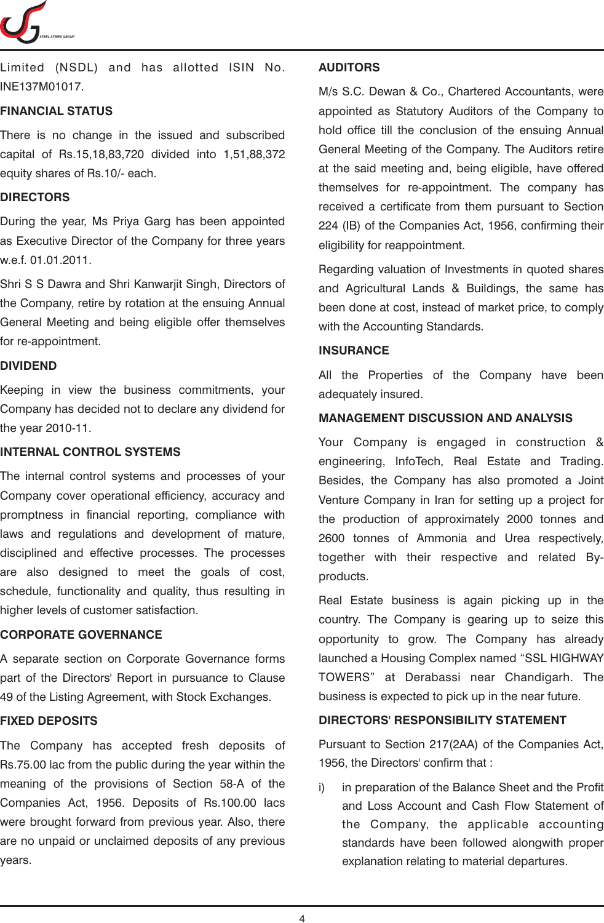

Limited (NSDL) and has allotted ISIN No. INE137M01017.

# **FINANCIAL STATUS**

There is no change in the issued and subscribed capital of Rs.15,18,83,720 divided into 1,51,88,372 equity shares of Rs.10/- each.

# **DIRECTORS**

During the year, Ms Priya Garg has been appointed as Executive Director of the Company for three years w.e.f. 01.01.2011.

Shri S S Dawra and Shri Kanwarjit Singh, Directors of the Company, retire by rotation at the ensuing Annual General Meeting and being eligible offer themselves for re-appointment.

# **DIVIDEND**

Keeping in view the business commitments, your Company has decided not to declare any dividend for the year 2010-11.

# **INTERNAL CONTROL SYSTEMS**

The internal control systems and processes of your Company cover operational efficiency, accuracy and promptness in financial reporting, compliance with laws and regulations and development of mature, disciplined and effective processes. The processes are also designed to meet the goals of cost, schedule, functionality and quality, thus resulting in higher levels of customer satisfaction.

# **CORPORATE GOVERNANCE**

A separate section on Corporate Governance forms part of the Directors' Report in pursuance to Clause 49 of the Listing Agreement, with Stock Exchanges.

# **FIXED DEPOSITS**

The Company has accepted fresh deposits of Rs.75.00 lac from the public during the year within the meaning of the provisions of Section 58-A of the Companies Act, 1956. Deposits of Rs.100.00 lacs were brought forward from previous year. Also, there are no unpaid or unclaimed deposits of any previous years.

#### **AUDITORS**

M/s S.C. Dewan & Co., Chartered Accountants, were appointed as Statutory Auditors of the Company to hold office till the conclusion of the ensuing Annual General Meeting of the Company. The Auditors retire at the said meeting and, being eligible, have offered themselves for re-appointment. The company has received a certificate from them pursuant to Section 224 (IB) of the Companies Act, 1956, confirming their eligibility for reappointment.

Regarding valuation of Investments in quoted shares and Agricultural Lands & Buildings, the same has been done at cost, instead of market price, to comply with the Accounting Standards.

# **INSURANCE**

All the Properties of the Company have been adequately insured.

# **MANAGEMENT DISCUSSION AND ANALYSIS**

Your Company is engaged in construction & engineering, InfoTech, Real Estate and Trading. Besides, the Company has also promoted a Joint Venture Company in Iran for setting up a project for the production of approximately 2000 tonnes and 2600 tonnes of Ammonia and Urea respectively, together with their respective and related Byproducts.

Real Estate business is again picking up in the country. The Company is gearing up to seize this opportunity to grow. The Company has already launched a Housing Complex named "SSL HIGHWAY TOWERS" at Derabassi near Chandigarh. The business is expected to pick up in the near future.

# **DIRECTORS' RESPONSIBILITY STATEMENT**

Pursuant to Section 217(2AA) of the Companies Act, 1956, the Directors' confirm that :

i) in preparation of the Balance Sheet and the Profit and Loss Account and Cash Flow Statement of the Company, the applicable accounting standards have been followed alongwith proper explanation relating to material departures.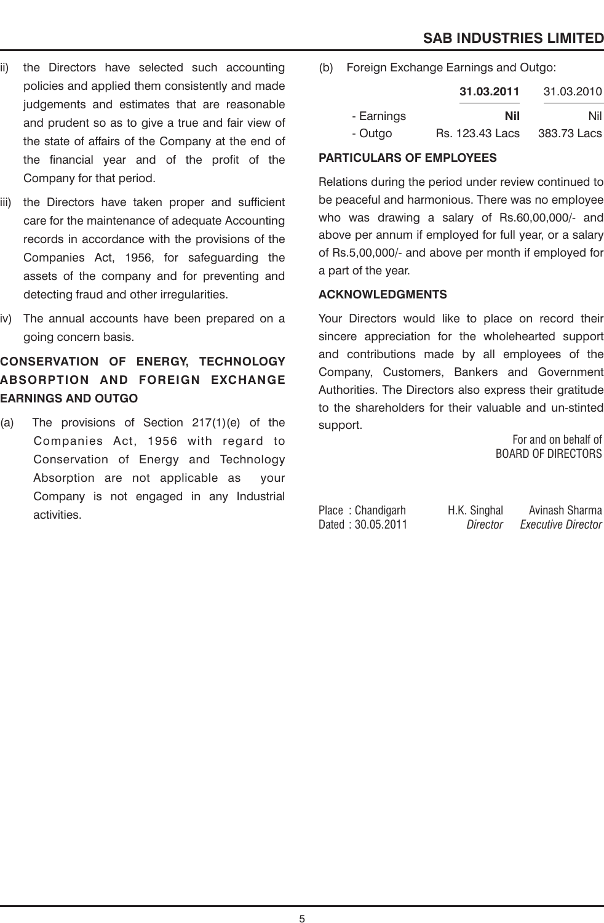- ii) the Directors have selected such accounting policies and applied them consistently and made judgements and estimates that are reasonable and prudent so as to give a true and fair view of the state of affairs of the Company at the end of the financial year and of the profit of the Company for that period.
- iii) the Directors have taken proper and sufficient care for the maintenance of adequate Accounting records in accordance with the provisions of the Companies Act, 1956, for safeguarding the assets of the company and for preventing and detecting fraud and other irregularities.
- iv) The annual accounts have been prepared on a going concern basis.

# **CONSERVATION OF ENERGY, TECHNOLOGY ABSORPTION AND FOREIGN EXCHANGE EARNINGS AND OUTGO**

(a) The provisions of Section 217(1)(e) of the Companies Act, 1956 with regard to Conservation of Energy and Technology Absorption are not applicable as your Company is not engaged in any Industrial activities.

(b) Foreign Exchange Earnings and Outgo:

|            | 31.03.2011             | 31.03.2010  |
|------------|------------------------|-------------|
| - Earnings | Nil                    | Nill        |
| - Outgo    | <b>Rs. 123.43 Lacs</b> | 383.73 Lacs |

# **PARTICULARS OF EMPLOYEES**

Relations during the period under review continued to be peaceful and harmonious. There was no employee who was drawing a salary of Rs.60,00,000/- and above per annum if employed for full year, or a salary of Rs.5,00,000/- and above per month if employed for a part of the year.

# **ACKNOWLEDGMENTS**

Your Directors would like to place on record their sincere appreciation for the wholehearted support and contributions made by all employees of the Company, Customers, Bankers and Government Authorities. The Directors also express their gratitude to the shareholders for their valuable and un-stinted support.

For and on behalf of BOARD OF DIRECTORS

Dated : 30.05.2011 *Director Executive Director*

Place : Chandigarh H.K. Singhal Avinash Sharma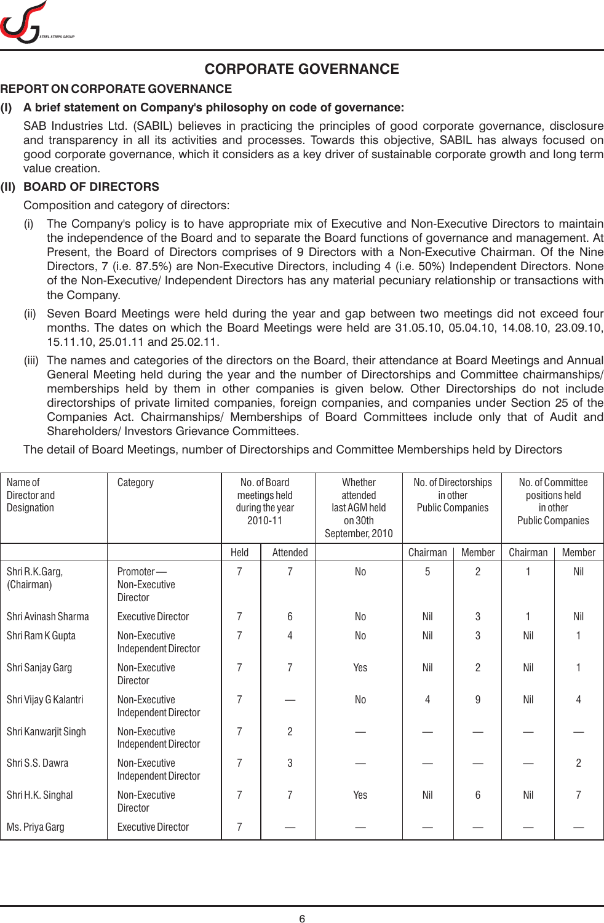

# **CORPORATE GOVERNANCE**

# **REPORT ON CORPORATE GOVERNANCE**

# **(I) A brief statement on Company's philosophy on code of governance:**

SAB Industries Ltd. (SABIL) believes in practicing the principles of good corporate governance, disclosure and transparency in all its activities and processes. Towards this objective, SABIL has always focused on good corporate governance, which it considers as a key driver of sustainable corporate growth and long term value creation.

# **(II) BOARD OF DIRECTORS**

Composition and category of directors:

- (i) The Company's policy is to have appropriate mix of Executive and Non-Executive Directors to maintain the independence of the Board and to separate the Board functions of governance and management. At Present, the Board of Directors comprises of 9 Directors with a Non-Executive Chairman. Of the Nine Directors, 7 (i.e. 87.5%) are Non-Executive Directors, including 4 (i.e. 50%) Independent Directors. None of the Non-Executive/ Independent Directors has any material pecuniary relationship or transactions with the Company.
- (ii) Seven Board Meetings were held during the year and gap between two meetings did not exceed four months. The dates on which the Board Meetings were held are 31.05.10, 05.04.10, 14.08.10, 23.09.10, 15.11.10, 25.01.11 and 25.02.11.
- (iii) The names and categories of the directors on the Board, their attendance at Board Meetings and Annual General Meeting held during the year and the number of Directorships and Committee chairmanships/ memberships held by them in other companies is given below. Other Directorships do not include directorships of private limited companies, foreign companies, and companies under Section 25 of the Companies Act. Chairmanships/ Memberships of Board Committees include only that of Audit and Shareholders/ Investors Grievance Committees.

The detail of Board Meetings, number of Directorships and Committee Memberships held by Directors

| Name of<br>Director and<br>Designation | Category                                      | No. of Board<br>meetings held<br>during the year<br>2010-11 |          | Whether<br>attended<br>last AGM held<br>on 30th<br>September, 2010 | No. of Directorships<br>in other<br><b>Public Companies</b> |                | No. of Committee<br>positions held<br>in other<br><b>Public Companies</b> |                |
|----------------------------------------|-----------------------------------------------|-------------------------------------------------------------|----------|--------------------------------------------------------------------|-------------------------------------------------------------|----------------|---------------------------------------------------------------------------|----------------|
|                                        |                                               | Held                                                        | Attended |                                                                    | Chairman                                                    | Member         | Chairman                                                                  | Member         |
| Shri R.K.Garg,<br>(Chairman)           | Promoter-<br>Non-Executive<br><b>Director</b> | $\overline{7}$                                              | 7        | N <sub>0</sub>                                                     | 5                                                           | $\overline{c}$ |                                                                           | Nil            |
| Shri Avinash Sharma                    | <b>Executive Director</b>                     | 7                                                           | 6        | No                                                                 | Nil                                                         | 3              |                                                                           | Nil            |
| Shri Ram K Gupta                       | Non-Executive<br>Independent Director         | 7                                                           | 4        | No                                                                 | Nil                                                         | 3              | Nil                                                                       |                |
| Shri Sanjay Garg                       | Non-Executive<br><b>Director</b>              | 7                                                           | 7        | Yes                                                                | Nil                                                         | 2              | Nil                                                                       |                |
| Shri Vijay G Kalantri                  | Non-Executive<br>Independent Director         | $\overline{7}$                                              |          | N <sub>0</sub>                                                     | 4                                                           | 9              | Nil                                                                       | 4              |
| Shri Kanwarjit Singh                   | Non-Executive<br>Independent Director         | 7                                                           | 2        |                                                                    |                                                             |                |                                                                           |                |
| Shri S.S. Dawra                        | Non-Executive<br>Independent Director         | $\overline{7}$                                              | 3        |                                                                    |                                                             |                |                                                                           | $\overline{2}$ |
| Shri H.K. Singhal                      | Non-Executive<br>Director                     | 7                                                           | 7        | Yes                                                                | Nil                                                         | 6              | Nil                                                                       | 7              |
| Ms. Priya Garg                         | <b>Executive Director</b>                     | $\overline{7}$                                              |          |                                                                    |                                                             |                |                                                                           |                |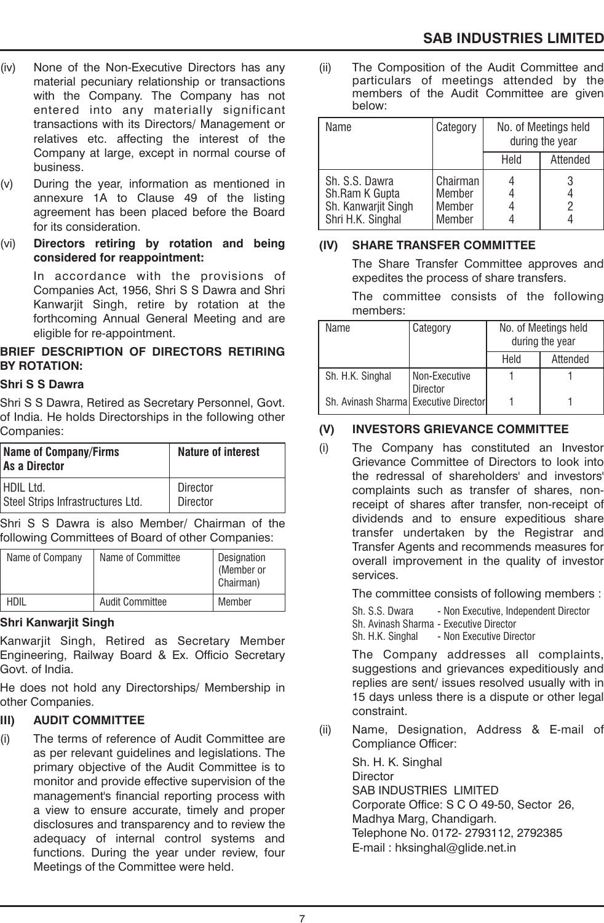- (iv) None of the Non-Executive Directors has any material pecuniary relationship or transactions with the Company. The Company has not entered into any materially significant transactions with its Directors/ Management or relatives etc. affecting the interest of the Company at large, except in normal course of business.
- (v) During the year, information as mentioned in annexure 1A to Clause 49 of the listing agreement has been placed before the Board for its consideration.
- (vi) **Directors retiring by rotation and being considered for reappointment:**

In accordance with the provisions of Companies Act, 1956, Shri S S Dawra and Shri Kanwarjit Singh, retire by rotation at the forthcoming Annual General Meeting and are eligible for re-appointment.

# **BRIEF DESCRIPTION OF DIRECTORS RETIRING BY ROTATION:**

# **Shri S S Dawra**

Shri S S Dawra, Retired as Secretary Personnel, Govt. of India. He holds Directorships in the following other Companies:

| Name of Company/Firms<br>As a Director | <b>Nature of interest</b> |  |  |
|----------------------------------------|---------------------------|--|--|
| I HDII 1td.                            | <b>Director</b>           |  |  |
| Steel Strips Infrastructures Ltd.      | <b>Director</b>           |  |  |

Shri S S Dawra is also Member/ Chairman of the following Committees of Board of other Companies:

| Name of Company | Name of Committee      | Designation<br>(Member or<br>Chairman) |  |
|-----------------|------------------------|----------------------------------------|--|
| hdi             | <b>Audit Committee</b> | Member                                 |  |

# **Shri Kanwarjit Singh**

Kanwarjit Singh, Retired as Secretary Member Engineering, Railway Board & Ex. Officio Secretary Govt. of India.

He does not hold any Directorships/ Membership in other Companies.

# **III) AUDIT COMMITTEE**

(i) The terms of reference of Audit Committee are as per relevant guidelines and legislations. The primary objective of the Audit Committee is to monitor and provide effective supervision of the management's financial reporting process with a view to ensure accurate, timely and proper disclosures and transparency and to review the adequacy of internal control systems and functions. During the year under review, four Meetings of the Committee were held.

(ii) The Composition of the Audit Committee and particulars of meetings attended by the members of the Audit Committee are given below:

| Name                                                                         | Category                               |      | No. of Meetings held<br>during the year |
|------------------------------------------------------------------------------|----------------------------------------|------|-----------------------------------------|
|                                                                              |                                        | Held | Attended                                |
| Sh. S.S. Dawra<br>Sh.Ram K Gupta<br>Sh. Kanwarjit Singh<br>Shri H.K. Singhal | Chairman<br>Member<br>Member<br>Member |      | 2                                       |

# **(IV) SHARE TRANSFER COMMITTEE**

The Share Transfer Committee approves and expedites the process of share transfers.

The committee consists of the following members:

| Name                                  | Category                         | No. of Meetings held<br>during the year |          |  |
|---------------------------------------|----------------------------------|-----------------------------------------|----------|--|
|                                       |                                  | Held                                    | Attended |  |
| Sh. H.K. Singhal                      | Non-Executive<br><b>Director</b> |                                         |          |  |
| Sh. Avinash Sharma Executive Director |                                  |                                         |          |  |

# **(V) INVESTORS GRIEVANCE COMMITTEE**

(i) The Company has constituted an Investor Grievance Committee of Directors to look into the redressal of shareholders' and investors' complaints such as transfer of shares, nonreceipt of shares after transfer, non-receipt of dividends and to ensure expeditious share transfer undertaken by the Registrar and Transfer Agents and recommends measures for overall improvement in the quality of investor services.

The committee consists of following members :

Sh. S.S. Dwara - Non Executive, Independent Director

Sh. Avinash Sharma - Executive Director

Sh. H.K. Singhal - Non Executive Director

The Company addresses all complaints, suggestions and grievances expeditiously and replies are sent/ issues resolved usually with in 15 days unless there is a dispute or other legal constraint.

(ii) Name, Designation, Address & E-mail of Compliance Officer:

> Sh. H. K. Singhal **Director** SAB INDUSTRIES LIMITED Corporate Office: S C O 49-50, Sector 26, Madhya Marg, Chandigarh. Telephone No. 0172- 2793112, 2792385 E-mail : hksinghal@glide.net.in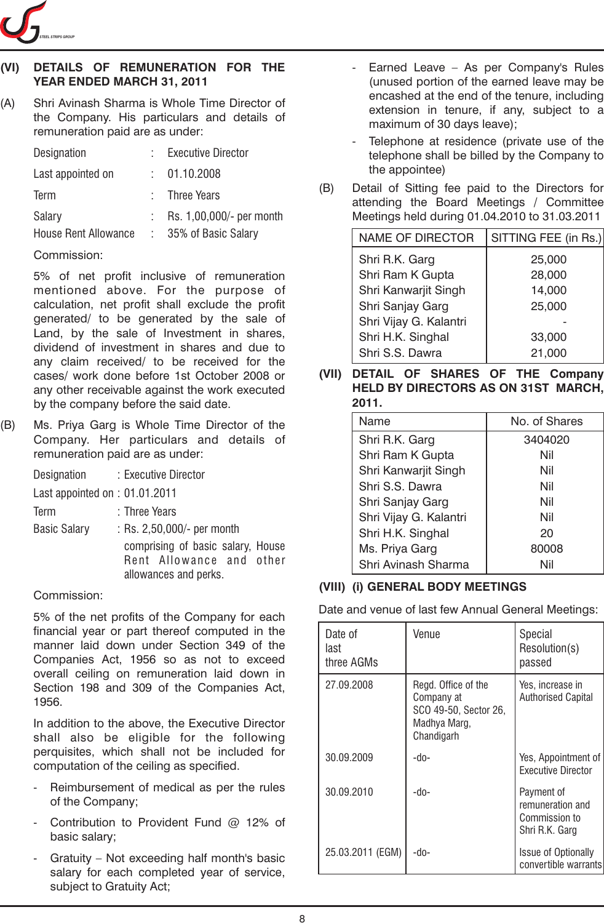

# **(VI) DETAILS OF REMUNERATION FOR THE YEAR ENDED MARCH 31, 2011**

(A) Shri Avinash Sharma is Whole Time Director of the Company. His particulars and details of remuneration paid are as under:

| Designation                 | <b>Executive Director</b> |
|-----------------------------|---------------------------|
| Last appointed on           | 01.10.2008                |
| <b>Term</b>                 | : Three Years             |
| Salary                      | Rs. 1,00,000/- per month  |
| <b>House Rent Allowance</b> | 35% of Basic Salary       |

# Commission:

5% of net profit inclusive of remuneration mentioned above. For the purpose of calculation, net profit shall exclude the profit generated/ to be generated by the sale of Land, by the sale of Investment in shares, dividend of investment in shares and due to any claim received/ to be received for the cases/ work done before 1st October 2008 or any other receivable against the work executed by the company before the said date.

(B) Ms. Priya Garg is Whole Time Director of the Company. Her particulars and details of remuneration paid are as under:

| Designation                      | : Executive Director                                                                   |
|----------------------------------|----------------------------------------------------------------------------------------|
| Last appointed on $: 01.01.2011$ |                                                                                        |
| Term                             | : Three Years                                                                          |
| <b>Basic Salary</b>              | : Rs. 2,50,000/- per month                                                             |
|                                  | comprising of basic salary, House<br>Rent Allowance and other<br>allowances and perks. |

# Commission:

5% of the net profits of the Company for each financial year or part thereof computed in the manner laid down under Section 349 of the Companies Act, 1956 so as not to exceed overall ceiling on remuneration laid down in Section 198 and 309 of the Companies Act, 1956.

In addition to the above, the Executive Director shall also be eligible for the following perquisites, which shall not be included for computation of the ceiling as specified.

- Reimbursement of medical as per the rules of the Company;
- Contribution to Provident Fund @ 12% of basic salary;
- Gratuity Not exceeding half month's basic salary for each completed year of service, subject to Gratuity Act;
- Earned Leave As per Company's Rules (unused portion of the earned leave may be encashed at the end of the tenure, including extension in tenure, if any, subject to a maximum of 30 days leave);
- Telephone at residence (private use of the telephone shall be billed by the Company to the appointee)
- (B) Detail of Sitting fee paid to the Directors for attending the Board Meetings / Committee Meetings held during 01.04.2010 to 31.03.2011

| <b>NAME OF DIRECTOR</b> | SITTING FEE (in Rs.) |
|-------------------------|----------------------|
| Shri R.K. Garg          | 25,000               |
| Shri Ram K Gupta        | 28,000               |
| Shri Kanwarjit Singh    | 14,000               |
| Shri Sanjay Garg        | 25,000               |
| Shri Vijay G. Kalantri  |                      |
| Shri H.K. Singhal       | 33,000               |
| Shri S.S. Dawra         | 21,000               |

**(VII) DETAIL OF SHARES OF THE Company HELD BY DIRECTORS AS ON 31ST MARCH, 2011.**

| Name                   | No. of Shares |
|------------------------|---------------|
| Shri R.K. Garg         | 3404020       |
| Shri Ram K Gupta       | Nil           |
| Shri Kanwarjit Singh   | Nil           |
| Shri S.S. Dawra        | Nil           |
| Shri Sanjay Garg       | Nil           |
| Shri Vijay G. Kalantri | Nil           |
| Shri H.K. Singhal      | 20            |
| Ms. Priya Garg         | 80008         |
| Shri Avinash Sharma    | Nil           |

# **(VIII) (i) GENERAL BODY MEETINGS**

Date and venue of last few Annual General Meetings:

| Date of<br>last<br>three AGMs | Venue                                                                                    | Special<br>Resolution(s)<br>passed                                |
|-------------------------------|------------------------------------------------------------------------------------------|-------------------------------------------------------------------|
| 27.09.2008                    | Regd. Office of the<br>Company at<br>SCO 49-50, Sector 26,<br>Madhya Marg,<br>Chandigarh | Yes, increase in<br><b>Authorised Capital</b>                     |
| 30.09.2009                    | $-do-$                                                                                   | Yes, Appointment of<br><b>Executive Director</b>                  |
| 30.09.2010                    | -do-                                                                                     | Payment of<br>remuneration and<br>Commission to<br>Shri R.K. Garg |
| 25.03.2011 (EGM)              | -do-                                                                                     | <b>Issue of Optionally</b><br>convertible warrants                |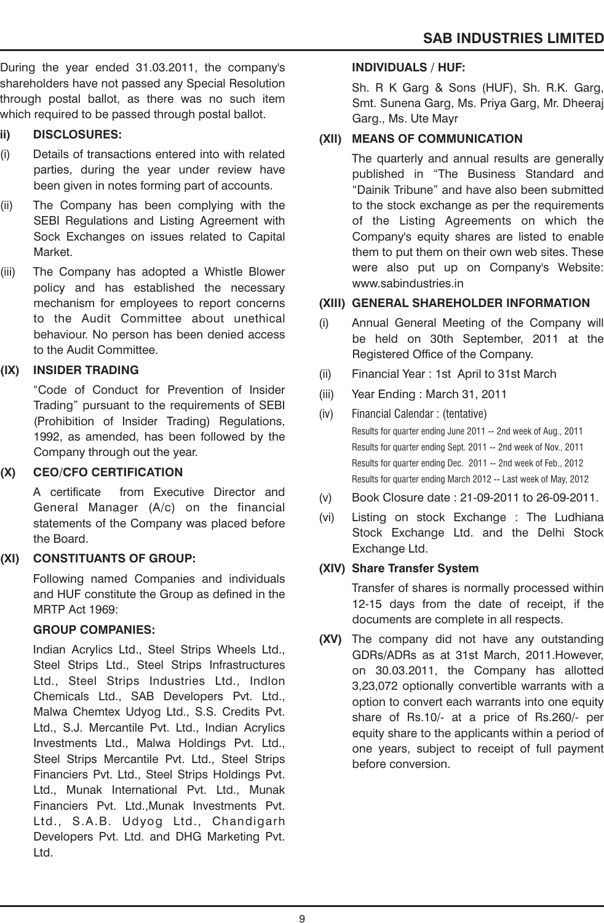During the year ended 31.03.2011, the company's shareholders have not passed any Special Resolution through postal ballot, as there was no such item which required to be passed through postal ballot.

# **ii) DISCLOSURES:**

- (i) Details of transactions entered into with related parties, during the year under review have been given in notes forming part of accounts.
- (ii) The Company has been complying with the SEBI Regulations and Listing Agreement with Sock Exchanges on issues related to Capital Market.
- (iii) The Company has adopted a Whistle Blower policy and has established the necessary mechanism for employees to report concerns to the Audit Committee about unethical behaviour. No person has been denied access to the Audit Committee.

# **(IX) INSIDER TRADING**

"Code of Conduct for Prevention of Insider Trading" pursuant to the requirements of SEBI (Prohibition of Insider Trading) Regulations, 1992, as amended, has been followed by the Company through out the year.

# **(X) CEO/CFO CERTIFICATION**

A certificate from Executive Director and General Manager (A/c) on the financial statements of the Company was placed before the Board.

# **(XI) CONSTITUANTS OF GROUP:**

Following named Companies and individuals and HUF constitute the Group as defined in the MRTP Act 1969:

# **GROUP COMPANIES:**

Indian Acrylics Ltd., Steel Strips Wheels Ltd., Steel Strips Ltd., Steel Strips Infrastructures Ltd., Steel Strips Industries Ltd., Indlon Chemicals Ltd., SAB Developers Pvt. Ltd., Malwa Chemtex Udyog Ltd., S.S. Credits Pvt. Ltd., S.J. Mercantile Pvt. Ltd., Indian Acrylics Investments Ltd., Malwa Holdings Pvt. Ltd., Steel Strips Mercantile Pvt. Ltd., Steel Strips Financiers Pvt. Ltd., Steel Strips Holdings Pvt. Ltd., Munak International Pvt. Ltd., Munak Financiers Pvt. Ltd.,Munak Investments Pvt. Ltd., S.A.B. Udyog Ltd., Chandigarh Developers Pvt. Ltd. and DHG Marketing Pvt. Ltd.

# **INDIVIDUALS / HUF:**

Sh. R K Garg & Sons (HUF), Sh. R.K. Garg, Smt. Sunena Garg, Ms. Priya Garg, Mr. Dheeraj Garg., Ms. Ute Mayr

# **(XII) MEANS OF COMMUNICATION**

The quarterly and annual results are generally published in "The Business Standard and "Dainik Tribune" and have also been submitted to the stock exchange as per the requirements of the Listing Agreements on which the Company's equity shares are listed to enable them to put them on their own web sites. These were also put up on Company's Website: www.sabindustries.in

# **(XIII) GENERAL SHAREHOLDER INFORMATION**

- (i) Annual General Meeting of the Company will be held on 30th September, 2011 at the Registered Office of the Company.
- (ii) Financial Year : 1st April to 31st March
- (iii) Year Ending : March 31, 2011
- (iv) Financial Calendar : (tentative) Results for quarter ending June 2011 -- 2nd week of Aug., 2011 Results for quarter ending Sept. 2011 -- 2nd week of Nov., 2011 Results for quarter ending Dec. 2011 -- 2nd week of Feb., 2012 Results for quarter ending March 2012 -- Last week of May, 2012
- (v) Book Closure date : 21-09-2011 to 26-09-2011.
- (vi) Listing on stock Exchange : The Ludhiana Stock Exchange Ltd. and the Delhi Stock Exchange Ltd.

# **(XIV) Share Transfer System**

Transfer of shares is normally processed within 12-15 days from the date of receipt, if the documents are complete in all respects.

**(XV)** The company did not have any outstanding GDRs/ADRs as at 31st March, 2011.However, on 30.03.2011, the Company has allotted 3,23,072 optionally convertible warrants with a option to convert each warrants into one equity share of Rs.10/- at a price of Rs.260/- per equity share to the applicants within a period of one years, subject to receipt of full payment before conversion.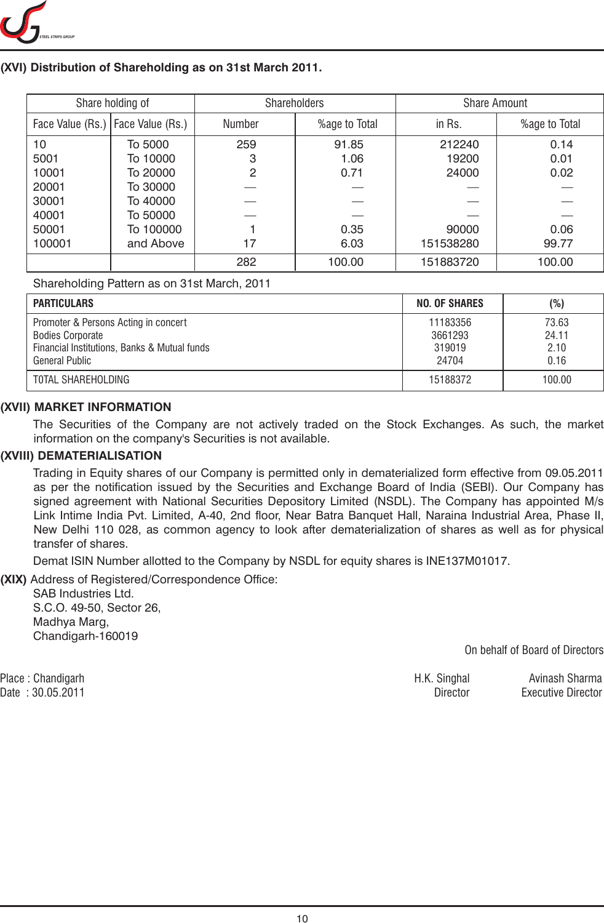

# **(XVI) Distribution of Shareholding as on 31st March 2011.**

| Share holding of |                  | <b>Shareholders</b> |               | <b>Share Amount</b> |               |
|------------------|------------------|---------------------|---------------|---------------------|---------------|
| Face Value (Rs.) | Face Value (Rs.) | <b>Number</b>       | %age to Total | in Rs.              | %age to Total |
| 10               | To 5000          | 259                 | 91.85         | 212240              | 0.14          |
| 5001             | To 10000         | 3                   | 1.06          | 19200               | 0.01          |
| 10001            | To 20000         | 2                   | 0.71          | 24000               | 0.02          |
| 20001            | To 30000         |                     |               |                     |               |
| 30001            | To 40000         |                     |               |                     |               |
| 40001            | To 50000         |                     |               |                     |               |
| 50001            | To 100000        |                     | 0.35          | 90000               | 0.06          |
| 100001           | and Above        | 17                  | 6.03          | 151538280           | 99.77         |
|                  |                  | 282                 | 100.00        | 151883720           | 100.00        |

Shareholding Pattern as on 31st March, 2011

| <b>PARTICULARS</b>                                                                                                                       | NO. OF SHARES                          | (%)                            |
|------------------------------------------------------------------------------------------------------------------------------------------|----------------------------------------|--------------------------------|
| Promoter & Persons Acting in concert<br><b>Bodies Corporate</b><br>Financial Institutions, Banks & Mutual funds<br><b>General Public</b> | 11183356<br>3661293<br>319019<br>24704 | 73.63<br>24.11<br>2.10<br>0.16 |
| TOTAL SHAREHOLDING                                                                                                                       | 15188372                               | 100.00                         |

#### **(XVII) MARKET INFORMATION**

The Securities of the Company are not actively traded on the Stock Exchanges. As such, the market information on the company's Securities is not available.

#### **(XVIII) DEMATERIALISATION**

Trading in Equity shares of our Company is permitted only in dematerialized form effective from 09.05.2011 as per the notification issued by the Securities and Exchange Board of India (SEBI). Our Company has signed agreement with National Securities Depository Limited (NSDL). The Company has appointed M/s Link Intime India Pvt. Limited, A-40, 2nd floor, Near Batra Banquet Hall, Naraina Industrial Area, Phase II, New Delhi 110 028, as common agency to look after dematerialization of shares as well as for physical transfer of shares.

Demat ISIN Number allotted to the Company by NSDL for equity shares is INE137M01017.

**(XIX)** Address of Registered/Correspondence Office:

SAB Industries Ltd. S.C.O. 49-50, Sector 26, Madhya Marg, Chandigarh-160019

On behalf of Board of Directors

Date : 30.05.2011 Director Executive Director

Place : Chandigarh H.K. Singhal Avinash Sharma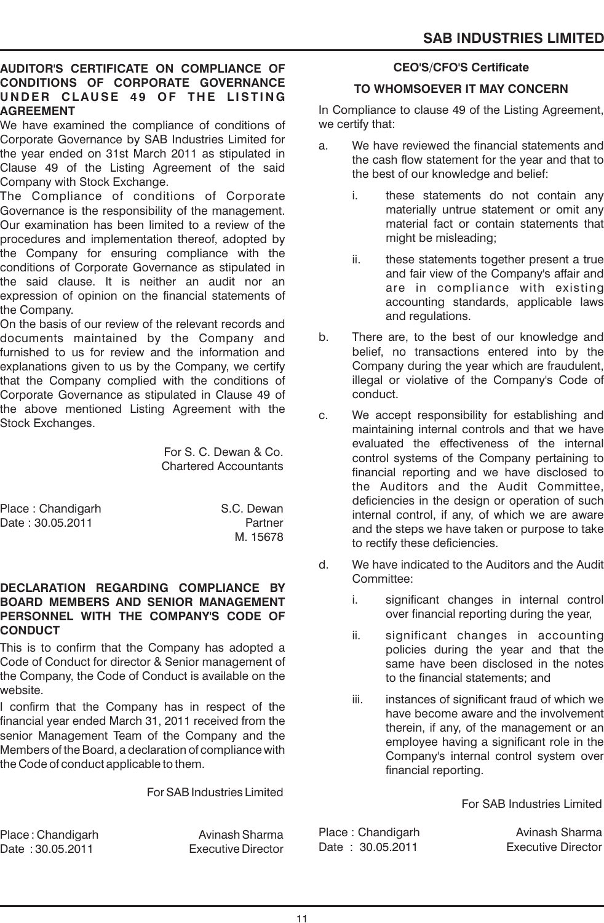# **AUDITOR'S CERTIFICATE ON COMPLIANCE OF CONDITIONS OF CORPORATE GOVERNANCE U N D E R CLAU SE 4 9 OF T H E L IST I N G AGREEMENT**

We have examined the compliance of conditions of Corporate Governance by SAB Industries Limited for the year ended on 31st March 2011 as stipulated in Clause 49 of the Listing Agreement of the said Company with Stock Exchange.

The Compliance of conditions of Corporate Governance is the responsibility of the management. Our examination has been limited to a review of the procedures and implementation thereof, adopted by the Company for ensuring compliance with the conditions of Corporate Governance as stipulated in the said clause. It is neither an audit nor an expression of opinion on the financial statements of the Company.

On the basis of our review of the relevant records and documents maintained by the Company and furnished to us for review and the information and explanations given to us by the Company, we certify that the Company complied with the conditions of Corporate Governance as stipulated in Clause 49 of the above mentioned Listing Agreement with the Stock Exchanges.

> For S. C. Dewan & Co. Chartered Accountants

Place : Chandigarh S.C. Dewan Date : 30.05.2011 Partner

M. 15678

# **DECLARATION REGARDING COMPLIANCE BY BOARD MEMBERS AND SENIOR MANAGEMENT PERSONNEL WITH THE COMPANY'S CODE OF CONDUCT**

This is to confirm that the Company has adopted a Code of Conduct for director & Senior management of the Company, the Code of Conduct is available on the website.

I confirm that the Company has in respect of the financial year ended March 31, 2011 received from the senior Management Team of the Company and the Members of the Board, a declaration of compliance with the Code of conduct applicable to them.

For SAB Industries Limited

Place : Chandigarh Avinash Sharma Date : 30.05.2011 Executive Director

# **CEO'S/CFO'S Certificate**

# **TO WHOMSOEVER IT MAY CONCERN**

In Compliance to clause 49 of the Listing Agreement, we certify that:

- a. We have reviewed the financial statements and the cash flow statement for the year and that to the best of our knowledge and belief:
	- i. these statements do not contain any materially untrue statement or omit any material fact or contain statements that might be misleading;
	- ii. these statements together present a true and fair view of the Company's affair and are in compliance with existing accounting standards, applicable laws and regulations.
- b. There are, to the best of our knowledge and belief, no transactions entered into by the Company during the year which are fraudulent, illegal or violative of the Company's Code of conduct.
- c. We accept responsibility for establishing and maintaining internal controls and that we have evaluated the effectiveness of the internal control systems of the Company pertaining to financial reporting and we have disclosed to the Auditors and the Audit Committee, deficiencies in the design or operation of such internal control, if any, of which we are aware and the steps we have taken or purpose to take to rectify these deficiencies.
- d. We have indicated to the Auditors and the Audit Committee:
	- i. significant changes in internal control over financial reporting during the year,
	- ii. significant changes in accounting policies during the year and that the same have been disclosed in the notes to the financial statements; and
	- iii. instances of significant fraud of which we have become aware and the involvement therein, if any, of the management or an employee having a significant role in the Company's internal control system over financial reporting.

For SAB Industries Limited

Place : Chandigarh Avinash Sharma Date: 30.05.2011 Executive Director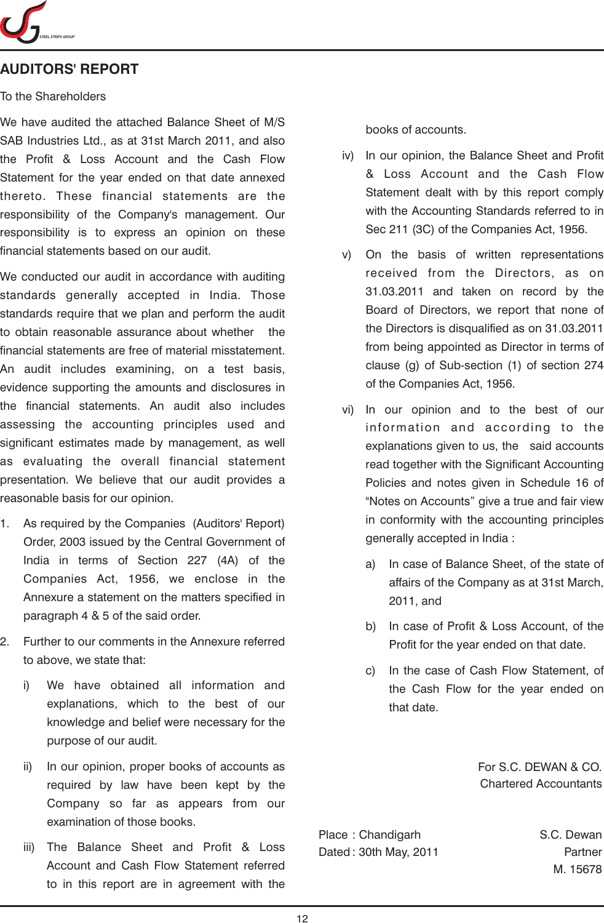

# **AUDITORS' REPORT**

#### To the Shareholders

We have audited the attached Balance Sheet of M/S SAB Industries Ltd., as at 31st March 2011, and also the Profit & Loss Account and the Cash Flow Statement for the year ended on that date annexed thereto. These financial statements are the responsibility of the Company's management. Our responsibility is to express an opinion on these financial statements based on our audit.

We conducted our audit in accordance with auditing standards generally accepted in India. Those standards require that we plan and perform the audit to obtain reasonable assurance about whether the financial statements are free of material misstatement. An audit includes examining, on a test basis, evidence supporting the amounts and disclosures in the financial statements. An audit also includes assessing the accounting principles used and significant estimates made by management, as well as evaluating the overall financial statement presentation. We believe that our audit provides a reasonable basis for our opinion.

- 1. As required by the Companies (Auditors' Report) Order, 2003 issued by the Central Government of India in terms of Section 227 (4A) of the Companies Act, 1956, we enclose in the Annexure a statement on the matters specified in paragraph 4 & 5 of the said order.
- 2. Further to our comments in the Annexure referred to above, we state that:
	- i) We have obtained all information and explanations, which to the best of our knowledge and belief were necessary for the purpose of our audit.
	- ii) In our opinion, proper books of accounts as required by law have been kept by the Company so far as appears from our examination of those books.
	- iii) The Balance Sheet and Profit & Loss Account and Cash Flow Statement referred to in this report are in agreement with the

books of accounts.

- iv) In our opinion, the Balance Sheet and Profit & Loss Account and the Cash Flow Statement dealt with by this report comply with the Accounting Standards referred to in Sec 211 (3C) of the Companies Act, 1956.
- v) On the basis of written representations received from the Directors, as on 31.03.2011 and taken on record by the Board of Directors, we report that none of the Directors is disqualified as on 31.03.2011 from being appointed as Director in terms of clause (g) of Sub-section (1) of section 274 of the Companies Act, 1956.
- vi) In our opinion and to the best of our information and according to the explanations given to us, the said accounts read together with the Significant Accounting Policies and notes given in Schedule 16 of "Notes on Accounts" give a true and fair view in conformity with the accounting principles generally accepted in India :
	- a) In case of Balance Sheet, of the state of affairs of the Company as at 31st March, 2011, and
	- b) In case of Profit & Loss Account, of the Profit for the year ended on that date.
	- c) In the case of Cash Flow Statement, of the Cash Flow for the year ended on that date.

For S.C. DEWAN & CO. Chartered Accountants

Place : Chandigarh S.C. Dewan Dated : 30th May, 2011 **Partner** 

M. 15678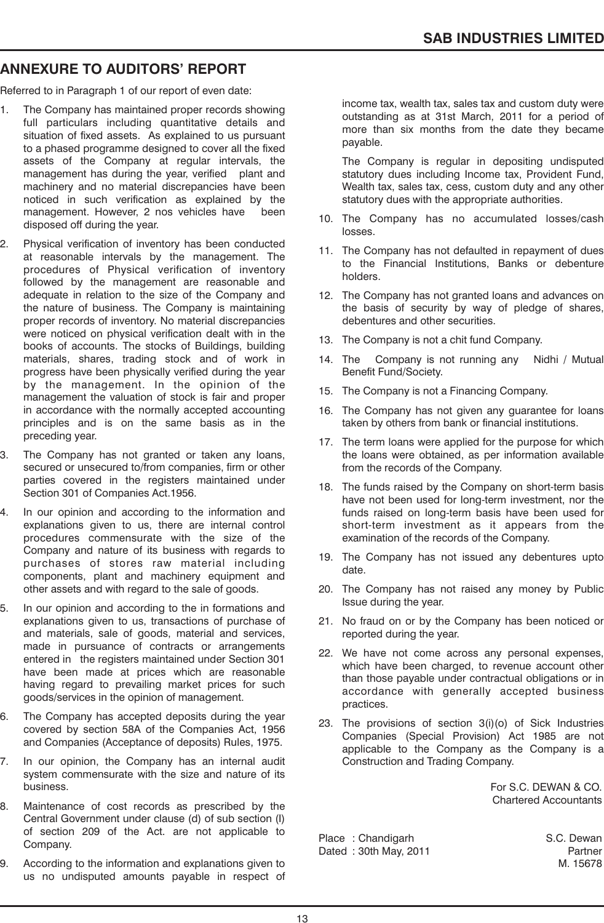# **ANNEXURE TO AUDITORS' REPORT**

Referred to in Paragraph 1 of our report of even date:

- 1. The Company has maintained proper records showing full particulars including quantitative details and situation of fixed assets. As explained to us pursuant to a phased programme designed to cover all the fixed assets of the Company at regular intervals, the management has during the year, verified plant and machinery and no material discrepancies have been noticed in such verification as explained by the management. However, 2 nos vehicles have been disposed off during the year.
- 2. Physical verification of inventory has been conducted at reasonable intervals by the management. The procedures of Physical verification of inventory followed by the management are reasonable and adequate in relation to the size of the Company and the nature of business. The Company is maintaining proper records of inventory. No material discrepancies were noticed on physical verification dealt with in the books of accounts. The stocks of Buildings, building materials, shares, trading stock and of work in progress have been physically verified during the year by the management. In the opinion of the management the valuation of stock is fair and proper in accordance with the normally accepted accounting principles and is on the same basis as in the preceding year.
- 3. The Company has not granted or taken any loans, secured or unsecured to/from companies, firm or other parties covered in the registers maintained under Section 301 of Companies Act.1956.
- 4. In our opinion and according to the information and explanations given to us, there are internal control procedures commensurate with the size of the Company and nature of its business with regards to purchases of stores raw material including components, plant and machinery equipment and other assets and with regard to the sale of goods.
- 5. In our opinion and according to the in formations and explanations given to us, transactions of purchase of and materials, sale of goods, material and services, made in pursuance of contracts or arrangements entered in the registers maintained under Section 301 have been made at prices which are reasonable having regard to prevailing market prices for such goods/services in the opinion of management.
- 6. The Company has accepted deposits during the year covered by section 58A of the Companies Act, 1956 and Companies (Acceptance of deposits) Rules, 1975.
- 7. In our opinion, the Company has an internal audit system commensurate with the size and nature of its business.
- 8. Maintenance of cost records as prescribed by the Central Government under clause (d) of sub section (I) of section 209 of the Act. are not applicable to Company.
- 9. According to the information and explanations given to us no undisputed amounts payable in respect of

income tax, wealth tax, sales tax and custom duty were outstanding as at 31st March, 2011 for a period of more than six months from the date they became payable.

The Company is regular in depositing undisputed statutory dues including Income tax, Provident Fund, Wealth tax, sales tax, cess, custom duty and any other statutory dues with the appropriate authorities.

- 10. The Company has no accumulated losses/cash losses.
- 11. The Company has not defaulted in repayment of dues to the Financial Institutions, Banks or debenture holders.
- 12. The Company has not granted loans and advances on the basis of security by way of pledge of shares, debentures and other securities.
- 13. The Company is not a chit fund Company.
- 14. The Company is not running any Nidhi / Mutual Benefit Fund/Society.
- 15. The Company is not a Financing Company.
- 16. The Company has not given any guarantee for loans taken by others from bank or financial institutions.
- 17. The term loans were applied for the purpose for which the loans were obtained, as per information available from the records of the Company.
- 18. The funds raised by the Company on short-term basis have not been used for long-term investment, nor the funds raised on long-term basis have been used for short-term investment as it appears from the examination of the records of the Company.
- 19. The Company has not issued any debentures upto date.
- 20. The Company has not raised any money by Public Issue during the year.
- 21. No fraud on or by the Company has been noticed or reported during the year.
- 22. We have not come across any personal expenses, which have been charged, to revenue account other than those payable under contractual obligations or in accordance with generally accepted business practices.
- 23. The provisions of section 3(i)(o) of Sick Industries Companies (Special Provision) Act 1985 are not applicable to the Company as the Company is a Construction and Trading Company.

For S.C. DEWAN & CO. Chartered Accountants

Place : Chandigarh S.C. Dewan Dated : 30th May, 2011 **Partner** 

M. 15678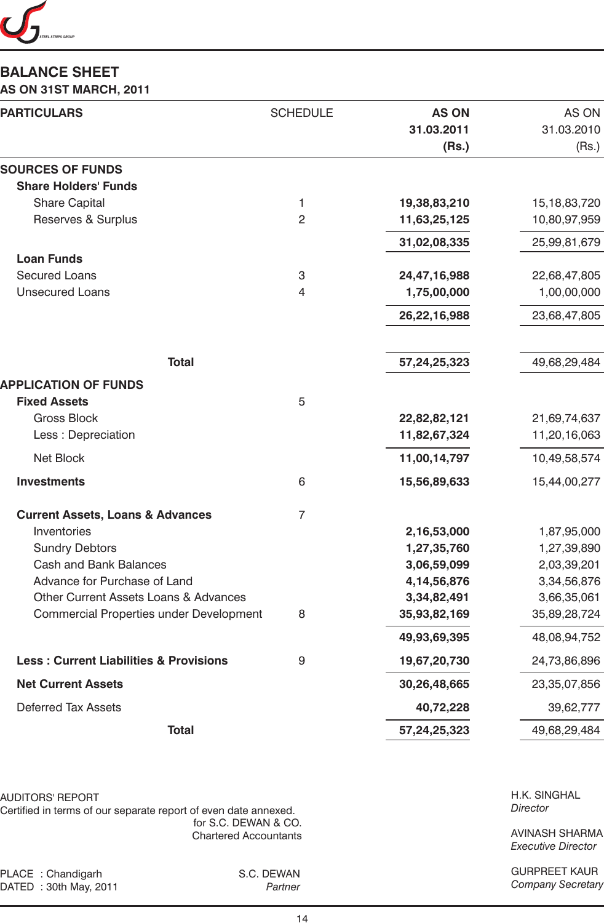

# **BALANCE SHEET**

**AS ON 31ST MARCH, 2011**

| <b>PARTICULARS</b>                                | <b>SCHEDULE</b>  | <b>AS ON</b><br>31.03.2011<br>(Rs.) | AS ON<br>31.03.2010<br>(Rs.) |
|---------------------------------------------------|------------------|-------------------------------------|------------------------------|
| <b>SOURCES OF FUNDS</b>                           |                  |                                     |                              |
| <b>Share Holders' Funds</b>                       |                  |                                     |                              |
| <b>Share Capital</b>                              | 1                | 19,38,83,210                        | 15, 18, 83, 720              |
| Reserves & Surplus                                | $\overline{2}$   | 11,63,25,125                        | 10,80,97,959                 |
|                                                   |                  | 31,02,08,335                        | 25,99,81,679                 |
| <b>Loan Funds</b>                                 |                  |                                     |                              |
| <b>Secured Loans</b><br><b>Unsecured Loans</b>    | 3<br>4           | 24,47,16,988                        | 22,68,47,805<br>1,00,00,000  |
|                                                   |                  | 1,75,00,000                         |                              |
|                                                   |                  | 26,22,16,988                        | 23,68,47,805                 |
| <b>Total</b>                                      |                  | 57,24,25,323                        | 49,68,29,484                 |
|                                                   |                  |                                     |                              |
| <b>APPLICATION OF FUNDS</b>                       |                  |                                     |                              |
| <b>Fixed Assets</b>                               | 5                |                                     |                              |
| <b>Gross Block</b><br>Less : Depreciation         |                  | 22,82,82,121                        | 21,69,74,637<br>11,20,16,063 |
|                                                   |                  | 11,82,67,324                        |                              |
| <b>Net Block</b>                                  |                  | 11,00,14,797                        | 10,49,58,574                 |
| <b>Investments</b>                                | 6                | 15,56,89,633                        | 15,44,00,277                 |
| <b>Current Assets, Loans &amp; Advances</b>       | $\overline{7}$   |                                     |                              |
| Inventories                                       |                  | 2,16,53,000                         | 1,87,95,000                  |
| <b>Sundry Debtors</b>                             |                  | 1,27,35,760                         | 1,27,39,890                  |
| <b>Cash and Bank Balances</b>                     |                  | 3,06,59,099                         | 2,03,39,201                  |
| Advance for Purchase of Land                      |                  | 4, 14, 56, 876                      | 3,34,56,876                  |
| Other Current Assets Loans & Advances             |                  | 3,34,82,491                         | 3,66,35,061                  |
| Commercial Properties under Development           | 8                | 35,93,82,169                        | 35,89,28,724                 |
|                                                   |                  | 49,93,69,395                        | 48,08,94,752                 |
| <b>Less: Current Liabilities &amp; Provisions</b> | $\boldsymbol{9}$ | 19,67,20,730                        | 24,73,86,896                 |
| <b>Net Current Assets</b>                         |                  | 30,26,48,665                        | 23,35,07,856                 |
| <b>Deferred Tax Assets</b>                        |                  | 40,72,228                           | 39,62,777                    |
| <b>Total</b>                                      |                  | 57,24,25,323                        | 49,68,29,484                 |
|                                                   |                  |                                     |                              |

AUDITORS' REPORT

Certified in terms of our separate report of even date annexed. for S.C. DEWAN & CO. Chartered Accountants

PLACE : Chandigarh S.C. DEWAN<br>DATED : 30th May, 2011 Partner DATED : 30th May, 2011

H.K. SINGHAL *Director*

AVINASH SHARMA *Executive Director*

GURPREET KAUR *Company Secretary*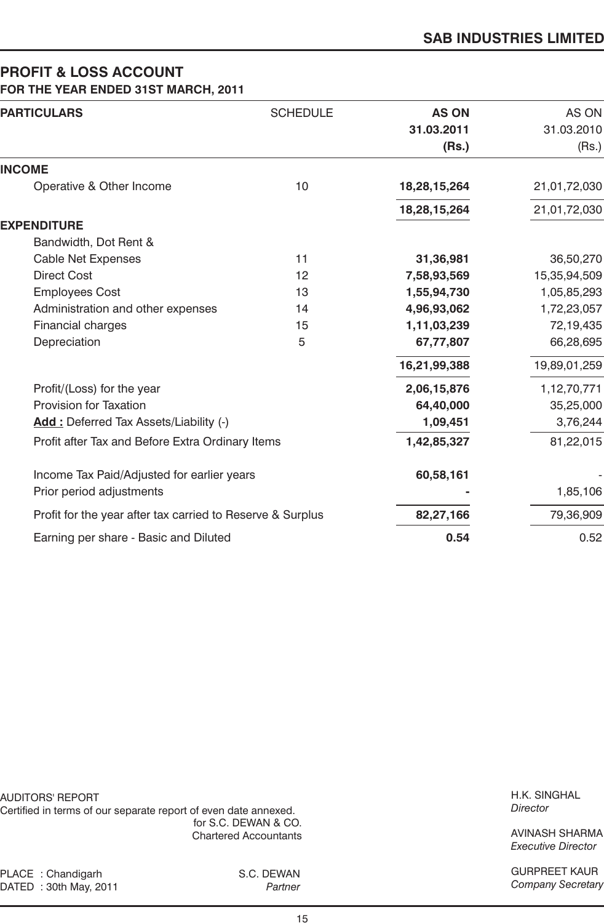# **PROFIT & LOSS ACCOUNT FOR THE YEAR ENDED 31ST MARCH, 2011**

| <b>PARTICULARS</b>                                         | <b>SCHEDULE</b> | <b>AS ON</b> | AS ON        |
|------------------------------------------------------------|-----------------|--------------|--------------|
|                                                            |                 | 31.03.2011   | 31.03.2010   |
|                                                            |                 | (Rs.)        | (Rs.)        |
| <b>INCOME</b>                                              |                 |              |              |
| Operative & Other Income                                   | 10              | 18,28,15,264 | 21,01,72,030 |
|                                                            |                 | 18,28,15,264 | 21,01,72,030 |
| <b>EXPENDITURE</b>                                         |                 |              |              |
| Bandwidth, Dot Rent &                                      |                 |              |              |
| <b>Cable Net Expenses</b>                                  | 11              | 31,36,981    | 36,50,270    |
| <b>Direct Cost</b>                                         | 12              | 7,58,93,569  | 15,35,94,509 |
| <b>Employees Cost</b>                                      | 13              | 1,55,94,730  | 1,05,85,293  |
| Administration and other expenses                          | 14              | 4,96,93,062  | 1,72,23,057  |
| Financial charges                                          | 15              | 1,11,03,239  | 72,19,435    |
| Depreciation                                               | 5               | 67,77,807    | 66,28,695    |
|                                                            |                 | 16,21,99,388 | 19,89,01,259 |
| Profit/(Loss) for the year                                 |                 | 2,06,15,876  | 1,12,70,771  |
| Provision for Taxation                                     |                 | 64,40,000    | 35,25,000    |
| Add: Deferred Tax Assets/Liability (-)                     |                 | 1,09,451     | 3,76,244     |
| Profit after Tax and Before Extra Ordinary Items           |                 | 1,42,85,327  | 81,22,015    |
| Income Tax Paid/Adjusted for earlier years                 |                 | 60,58,161    |              |
| Prior period adjustments                                   |                 |              | 1,85,106     |
| Profit for the year after tax carried to Reserve & Surplus |                 | 82,27,166    | 79,36,909    |
| Earning per share - Basic and Diluted                      |                 | 0.54         | 0.52         |

AUDITORS' REPORT Certified in terms of our separate report of even date annexed. for S.C. DEWAN & CO. Chartered Accountants

H.K. SINGHAL *Director*

AVINASH SHARMA *Executive Director*

GURPREET KAUR *Company Secretary*

PLACE : Chandigarh S.C. DEWAN DATED : 30th May, 2011 *Partner*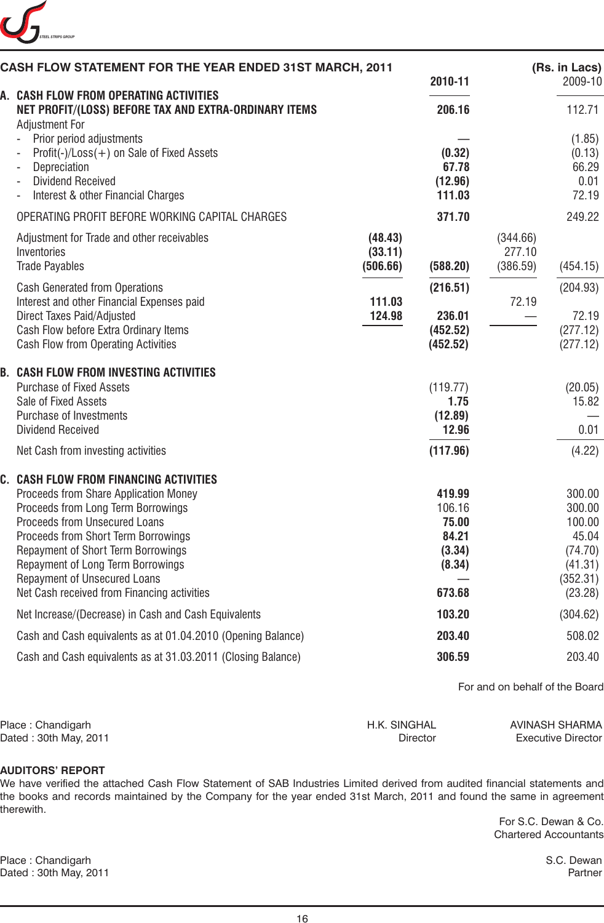

| CASH FLOW STATEMENT FOR THE YEAR ENDED 31ST MARCH, 2011                                                                                                                                                                                                                                                                                                 |                                                    | 2010-11                                                          |                                         | (Rs. in Lacs)<br>2009-10                                                         |
|---------------------------------------------------------------------------------------------------------------------------------------------------------------------------------------------------------------------------------------------------------------------------------------------------------------------------------------------------------|----------------------------------------------------|------------------------------------------------------------------|-----------------------------------------|----------------------------------------------------------------------------------|
| A. CASH FLOW FROM OPERATING ACTIVITIES<br>NET PROFIT/(LOSS) BEFORE TAX AND EXTRA-ORDINARY ITEMS                                                                                                                                                                                                                                                         |                                                    | 206.16                                                           |                                         | 112.71                                                                           |
| <b>Adjustment For</b><br>Prior period adjustments<br>Profit(-)/Loss(+) on Sale of Fixed Assets<br>Depreciation<br><b>Dividend Received</b><br>Interest & other Financial Charges                                                                                                                                                                        |                                                    | (0.32)<br>67.78<br>(12.96)<br>111.03                             |                                         | (1.85)<br>(0.13)<br>66.29<br>0.01<br>72.19                                       |
| OPERATING PROFIT BEFORE WORKING CAPITAL CHARGES                                                                                                                                                                                                                                                                                                         |                                                    | 371.70                                                           |                                         | 249.22                                                                           |
| Adjustment for Trade and other receivables<br>Inventories<br><b>Trade Payables</b><br><b>Cash Generated from Operations</b><br>Interest and other Financial Expenses paid<br>Direct Taxes Paid/Adjusted<br>Cash Flow before Extra Ordinary Items<br>Cash Flow from Operating Activities                                                                 | (48.43)<br>(33.11)<br>(506.66)<br>111.03<br>124.98 | (588.20)<br>(216.51)<br>236.01<br>(452.52)<br>(452.52)           | (344.66)<br>277.10<br>(386.59)<br>72.19 | (454.15)<br>(204.93)<br>72.19<br>(277.12)<br>(277.12)                            |
| <b>B. CASH FLOW FROM INVESTING ACTIVITIES</b><br><b>Purchase of Fixed Assets</b><br>Sale of Fixed Assets<br>Purchase of Investments<br><b>Dividend Received</b>                                                                                                                                                                                         |                                                    | (119.77)<br>1.75<br>(12.89)<br>12.96                             |                                         | (20.05)<br>15.82<br>0.01                                                         |
| Net Cash from investing activities                                                                                                                                                                                                                                                                                                                      |                                                    | (117.96)                                                         |                                         | (4.22)                                                                           |
| C. CASH FLOW FROM FINANCING ACTIVITIES<br>Proceeds from Share Application Money<br>Proceeds from Long Term Borrowings<br>Proceeds from Unsecured Loans<br>Proceeds from Short Term Borrowings<br>Repayment of Short Term Borrowings<br>Repayment of Long Term Borrowings<br>Repayment of Unsecured Loans<br>Net Cash received from Financing activities |                                                    | 419.99<br>106.16<br>75.00<br>84.21<br>(3.34)<br>(8.34)<br>673.68 |                                         | 300.00<br>300.00<br>100.00<br>45.04<br>(74.70)<br>(41.31)<br>(352.31)<br>(23.28) |
| Net Increase/(Decrease) in Cash and Cash Equivalents                                                                                                                                                                                                                                                                                                    |                                                    | 103.20                                                           |                                         | (304.62)                                                                         |
| Cash and Cash equivalents as at 01.04.2010 (Opening Balance)                                                                                                                                                                                                                                                                                            |                                                    | 203.40                                                           |                                         | 508.02                                                                           |
| Cash and Cash equivalents as at 31.03.2011 (Closing Balance)                                                                                                                                                                                                                                                                                            |                                                    | 306.59                                                           |                                         | 203.40                                                                           |

For and on behalf of the Board

| Place: Chandigarh     | H.K. SINGHAL | AVINASH SHARMA            |
|-----------------------|--------------|---------------------------|
| Dated: 30th May, 2011 | Director     | <b>Executive Director</b> |

#### **AUDITORS' REPORT**

We have verified the attached Cash Flow Statement of SAB Industries Limited derived from audited financial statements and the books and records maintained by the Company for the year ended 31st March, 2011 and found the same in agreement therewith.

> For S.C. Dewan & Co. Chartered Accountants

Place : Chandigarh S.C. Dewan Dated : 30th May, 2011 Partner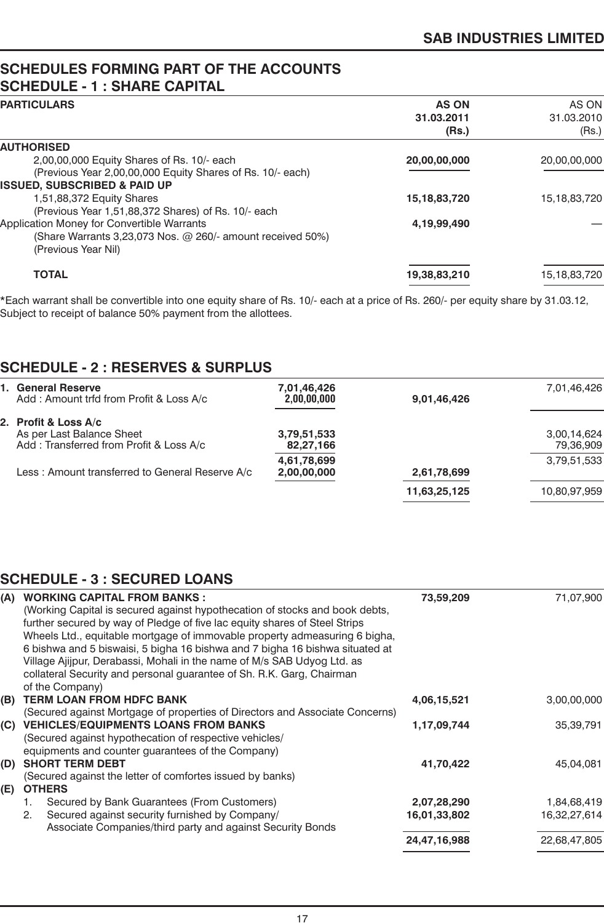# **SCHEDULES FORMING PART OF THE ACCOUNTS SCHEDULE - 1 : SHARE CAPITAL**

| PARTICULARS                                                       | <b>AS ON</b>    |                 |
|-------------------------------------------------------------------|-----------------|-----------------|
|                                                                   | 31.03.2011      | 31.03.2010      |
|                                                                   | (Rs.)           | (Rs.)           |
| <b>AUTHORISED</b>                                                 |                 |                 |
| 2,00,00,000 Equity Shares of Rs. 10/- each                        | 20,00,00,000    | 20,00,00,000    |
| (Previous Year 2,00,00,000 Equity Shares of Rs. 10/- each)        |                 |                 |
| <b>ISSUED, SUBSCRIBED &amp; PAID UP</b>                           |                 |                 |
| 1,51,88,372 Equity Shares                                         | 15, 18, 83, 720 | 15, 18, 83, 720 |
| (Previous Year 1,51,88,372 Shares) of Rs. 10/- each               |                 |                 |
| Application Money for Convertible Warrants                        | 4,19,99,490     |                 |
| (Share Warrants 3,23,073 Nos. $\omega$ 260/- amount received 50%) |                 |                 |
| (Previous Year Nil)                                               |                 |                 |
| <b>TOTAL</b>                                                      | 19,38,83,210    | 15, 18, 83, 720 |
|                                                                   |                 |                 |

\*Each warrant shall be convertible into one equity share of Rs. 10/- each at a price of Rs. 260/- per equity share by 31.03.12, Subject to receipt of balance 50% payment from the allottees.

# **SCHEDULE - 2 : RESERVES & SURPLUS**

| 1. General Reserve<br>Add: Amount trfd from Profit & Loss A/c                                | 7,01,46,426<br>2,00,00,000 | 9,01,46,426  | 7,01,46,426              |
|----------------------------------------------------------------------------------------------|----------------------------|--------------|--------------------------|
| 2. Profit & Loss A/c<br>As per Last Balance Sheet<br>Add: Transferred from Profit & Loss A/c | 3,79,51,533<br>82,27,166   |              | 3,00,14,624<br>79,36,909 |
| Less: Amount transferred to General Reserve A/c                                              | 4,61,78,699<br>2,00,00,000 | 2,61,78,699  | 3,79,51,533              |
|                                                                                              |                            | 11,63,25,125 | 10,80,97,959             |
|                                                                                              |                            |              |                          |

# **SCHEDULE - 3 : SECURED LOANS**

| (A) | <b>WORKING CAPITAL FROM BANKS:</b>                                           | 73,59,209    | 71,07,900    |
|-----|------------------------------------------------------------------------------|--------------|--------------|
|     | (Working Capital is secured against hypothecation of stocks and book debts,  |              |              |
|     | further secured by way of Pledge of five lac equity shares of Steel Strips   |              |              |
|     | Wheels Ltd., equitable mortgage of immovable property admeasuring 6 bigha,   |              |              |
|     | 6 bishwa and 5 biswaisi, 5 bigha 16 bishwa and 7 bigha 16 bishwa situated at |              |              |
|     | Village Ajijpur, Derabassi, Mohali in the name of M/s SAB Udyog Ltd. as      |              |              |
|     | collateral Security and personal guarantee of Sh. R.K. Garg, Chairman        |              |              |
|     | of the Company)                                                              |              |              |
| (B) | <b>TERM LOAN FROM HDFC BANK</b>                                              | 4,06,15,521  | 3,00,00,000  |
|     | (Secured against Mortgage of properties of Directors and Associate Concerns) |              |              |
| (C) | <b>VEHICLES/EQUIPMENTS LOANS FROM BANKS</b>                                  | 1,17,09,744  | 35,39,791    |
|     | (Secured against hypothecation of respective vehicles/                       |              |              |
|     | equipments and counter guarantees of the Company)                            |              |              |
| (D) | <b>SHORT TERM DEBT</b>                                                       | 41,70,422    | 45,04,081    |
|     | (Secured against the letter of comfortes issued by banks)                    |              |              |
| (E) | <b>OTHERS</b>                                                                |              |              |
|     | Secured by Bank Guarantees (From Customers)<br>1.                            | 2,07,28,290  | 1,84,68,419  |
|     | Secured against security furnished by Company/<br>2.                         | 16,01,33,802 | 16,32,27,614 |
|     | Associate Companies/third party and against Security Bonds                   |              |              |
|     |                                                                              | 24,47,16,988 | 22,68,47,805 |
|     |                                                                              |              |              |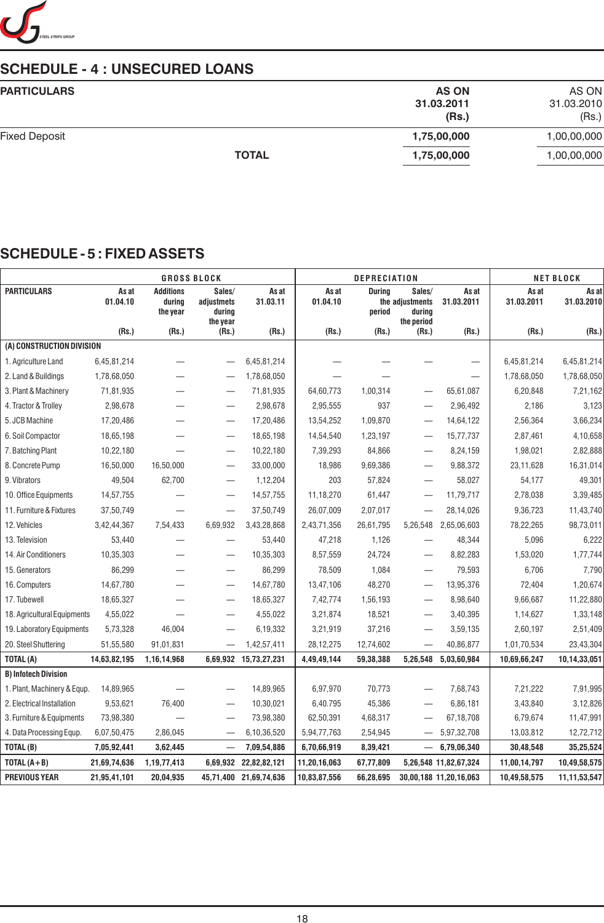

# **SCHEDULE - 4 : UNSECURED LOANS**

| <b>PARTICULARS</b>   |              | <b>AS ON</b> | AS ON       |
|----------------------|--------------|--------------|-------------|
|                      |              | 31.03.2011   | 31.03.2010  |
|                      |              | (Rs.)        | (Rs.)       |
| <b>Fixed Deposit</b> |              | 1,75,00,000  | 1,00,00,000 |
|                      | <b>TOTAL</b> | 1,75,00,000  | 1,00,00,000 |
|                      |              |              |             |

# **SCHEDULE - 5 : FIXED ASSETS**

|                             |                   |                                        | <b>GROSS BLOCK</b>                         |                       |                   | <b>DEPRECIATION</b>     |                                                   |                        |                     | <b>NET BLOCK</b>    |
|-----------------------------|-------------------|----------------------------------------|--------------------------------------------|-----------------------|-------------------|-------------------------|---------------------------------------------------|------------------------|---------------------|---------------------|
| <b>PARTICULARS</b>          | As at<br>01.04.10 | <b>Additions</b><br>during<br>the year | Sales/<br>adjustmets<br>during<br>the year | As at<br>31.03.11     | As at<br>01.04.10 | <b>During</b><br>period | Sales/<br>the adjustments<br>during<br>the period | As at<br>31.03.2011    | As at<br>31.03.2011 | As at<br>31.03.2010 |
|                             | (Rs.)             | (Rs.)                                  | (Rs.)                                      | (Rs.)                 | (Rs.)             | (Rs.)                   | (Rs.)                                             | (Rs.)                  | (Rs.)               | (Rs.)               |
| (A) CONSTRUCTION DIVISION   |                   |                                        |                                            |                       |                   |                         |                                                   |                        |                     |                     |
| 1. Agriculture Land         | 6,45,81,214       |                                        |                                            | 6,45,81,214           |                   |                         |                                                   |                        | 6,45,81,214         | 6,45,81,214         |
| 2. Land & Buildings         | 1,78,68,050       |                                        | $\overline{\phantom{0}}$                   | 1,78,68,050           |                   |                         |                                                   |                        | 1,78,68,050         | 1,78,68,050         |
| 3. Plant & Machinery        | 71,81,935         |                                        |                                            | 71,81,935             | 64,60,773         | 1,00,314                |                                                   | 65,61,087              | 6,20,848            | 7,21,162            |
| 4. Tractor & Trolley        | 2,98,678          |                                        |                                            | 2,98,678              | 2,95,555          | 937                     |                                                   | 2,96,492               | 2,186               | 3,123               |
| 5. JCB Machine              | 17,20,486         |                                        |                                            | 17,20,486             | 13,54,252         | 1,09,870                |                                                   | 14,64,122              | 2,56,364            | 3,66,234            |
| 6. Soil Compactor           | 18,65,198         |                                        | $\qquad \qquad -$                          | 18,65,198             | 14,54,540         | 1,23,197                | $\overline{\phantom{0}}$                          | 15,77,737              | 2,87,461            | 4,10,658            |
| 7. Batching Plant           | 10,22,180         |                                        | $\overline{\phantom{m}}$                   | 10,22,180             | 7,39,293          | 84,866                  | —                                                 | 8,24,159               | 1,98,021            | 2,82,888            |
| 8. Concrete Pump            | 16,50,000         | 16,50,000                              |                                            | 33,00,000             | 18,986            | 9,69,386                |                                                   | 9,88,372               | 23,11,628           | 16,31,014           |
| 9. Vibrators                | 49,504            | 62,700                                 | $\qquad \qquad -$                          | 1,12,204              | 203               | 57,824                  |                                                   | 58,027                 | 54,177              | 49,301              |
| 10. Office Equipments       | 14,57,755         |                                        |                                            | 14,57,755             | 11,18,270         | 61,447                  |                                                   | 11,79,717              | 2,78,038            | 3,39,485            |
| 11. Furniture & Fixtures    | 37,50,749         |                                        | $\overline{\phantom{0}}$                   | 37,50,749             | 26,07,009         | 2,07,017                |                                                   | 28,14,026              | 9,36,723            | 11,43,740           |
| 12. Vehicles                | 3,42,44,367       | 7,54,433                               | 6,69,932                                   | 3,43,28,868           | 2,43,71,356       | 26,61,795               | 5,26,548                                          | 2,65,06,603            | 78,22,265           | 98,73,011           |
| 13. Television              | 53,440            |                                        |                                            | 53,440                | 47,218            | 1,126                   |                                                   | 48,344                 | 5,096               | 6,222               |
| 14. Air Conditioners        | 10,35,303         |                                        | $\overline{\phantom{0}}$                   | 10,35,303             | 8,57,559          | 24,724                  |                                                   | 8,82,283               | 1,53,020            | 1,77,744            |
| 15. Generators              | 86,299            |                                        | $\overline{\phantom{0}}$                   | 86,299                | 78,509            | 1,084                   |                                                   | 79,593                 | 6,706               | 7,790               |
| 16. Computers               | 14,67,780         |                                        | $\qquad \qquad -$                          | 14,67,780             | 13,47,106         | 48,270                  | $\overline{\phantom{0}}$                          | 13,95,376              | 72,404              | 1,20,674            |
| 17. Tubewell                | 18,65,327         | —                                      | $\qquad \qquad \longleftarrow$             | 18,65,327             | 7,42,774          | 1,56,193                | $\overline{\phantom{a}}$                          | 8,98,640               | 9,66,687            | 11,22,880           |
| 18. Agricultural Equipments | 4,55,022          |                                        |                                            | 4,55,022              | 3,21,874          | 18,521                  |                                                   | 3,40,395               | 1,14,627            | 1,33,148            |
| 19. Laboratory Equipments   | 5,73,328          | 46,004                                 |                                            | 6,19,332              | 3,21,919          | 37,216                  |                                                   | 3,59,135               | 2,60,197            | 2,51,409            |
| 20. Steel Shuttering        | 51,55,580         | 91,01,831                              | $\overline{\phantom{0}}$                   | 1,42,57,411           | 28,12,275         | 12,74,602               | $\overline{\phantom{0}}$                          | 40,86,877              | 1,01,70,534         | 23,43,304           |
| TOTAL (A)                   | 14,63,82,195      | 1,16,14,968                            |                                            | 6,69,932 15,73,27,231 | 4,49,49,144       | 59,38,388               | 5,26,548                                          | 5,03,60,984            | 10,69,66,247        | 10,14,33,051        |
| <b>B) Infotech Division</b> |                   |                                        |                                            |                       |                   |                         |                                                   |                        |                     |                     |
| 1. Plant, Machinery & Equp. | 14,89,965         |                                        | $\qquad \qquad -$                          | 14,89,965             | 6,97,970          | 70,773                  |                                                   | 7,68,743               | 7,21,222            | 7,91,995            |
| 2. Electrical Installation  | 9,53,621          | 76,400                                 | $\qquad \qquad \longleftarrow$             | 10,30,021             | 6,40.795          | 45,386                  |                                                   | 6,86,181               | 3,43,840            | 3,12,826            |
| 3. Furniture & Equipments   | 73,98,380         |                                        |                                            | 73,98,380             | 62,50,391         | 4,68,317                |                                                   | 67,18,708              | 6,79,674            | 11,47,991           |
| 4. Data Processing Equp.    | 6,07,50,475       | 2,86,045                               | $\overline{\phantom{m}}$                   | 6,10,36,520           | 5,94,77,763       | 2,54,945                | $\overline{\phantom{m}}$                          | 5,97,32,708            | 13,03,812           | 12,72,712           |
| TOTAL (B)                   | 7,05,92,441       | 3,62,445                               |                                            | 7,09,54,886           | 6,70,66,919       | 8,39,421                | $\overline{\phantom{m}}$                          | 6,79,06,340            | 30,48,548           | 35,25,524           |
| TOTAL $(A + B)$             | 21,69,74,636      | 1,19,77,413                            | 6,69,932                                   | 22,82,82,121          | 11,20,16,063      | 67,77,809               |                                                   | 5,26,548 11,82,67,324  | 11,00,14,797        | 10,49,58,575        |
| <b>PREVIOUS YEAR</b>        | 21,95,41,101      | 20,04,935                              | 45,71,400                                  | 21,69,74,636          | 10,83,87,556      | 66,28,695               |                                                   | 30,00,188 11,20,16,063 | 10,49,58,575        | 11, 11, 53, 547     |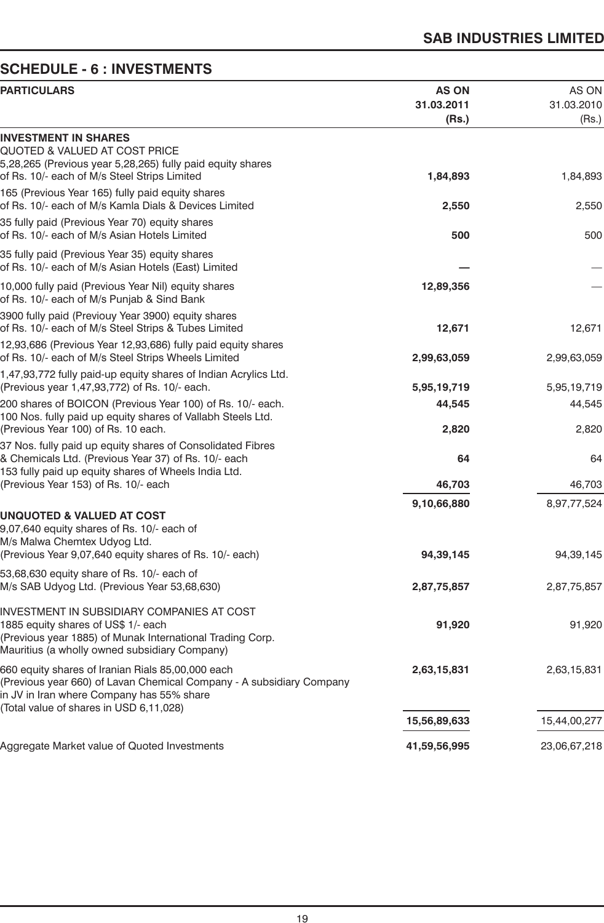# **SCHEDULE - 6 : INVESTMENTS**

| <b>PARTICULARS</b>                                                                                                                                                                                                | <b>AS ON</b><br>31.03.2011<br>(Rs.) | AS ON<br>31.03.2010<br>(Rs.) |
|-------------------------------------------------------------------------------------------------------------------------------------------------------------------------------------------------------------------|-------------------------------------|------------------------------|
| <b>INVESTMENT IN SHARES</b><br>QUOTED & VALUED AT COST PRICE<br>5,28,265 (Previous year 5,28,265) fully paid equity shares                                                                                        |                                     |                              |
| of Rs. 10/- each of M/s Steel Strips Limited                                                                                                                                                                      | 1,84,893                            | 1,84,893                     |
| 165 (Previous Year 165) fully paid equity shares<br>of Rs. 10/- each of M/s Kamla Dials & Devices Limited                                                                                                         | 2,550                               | 2,550                        |
| 35 fully paid (Previous Year 70) equity shares<br>of Rs. 10/- each of M/s Asian Hotels Limited                                                                                                                    | 500                                 | 500                          |
| 35 fully paid (Previous Year 35) equity shares<br>of Rs. 10/- each of M/s Asian Hotels (East) Limited                                                                                                             |                                     |                              |
| 10,000 fully paid (Previous Year Nil) equity shares<br>of Rs. 10/- each of M/s Punjab & Sind Bank                                                                                                                 | 12,89,356                           |                              |
| 3900 fully paid (Previouy Year 3900) equity shares<br>of Rs. 10/- each of M/s Steel Strips & Tubes Limited                                                                                                        | 12,671                              | 12,671                       |
| 12,93,686 (Previous Year 12,93,686) fully paid equity shares<br>of Rs. 10/- each of M/s Steel Strips Wheels Limited                                                                                               | 2,99,63,059                         | 2,99,63,059                  |
| 1,47,93,772 fully paid-up equity shares of Indian Acrylics Ltd.<br>(Previous year 1,47,93,772) of Rs. 10/- each.                                                                                                  | 5,95,19,719                         | 5,95,19,719                  |
| 200 shares of BOICON (Previous Year 100) of Rs. 10/- each.<br>100 Nos. fully paid up equity shares of Vallabh Steels Ltd.                                                                                         | 44,545                              | 44,545                       |
| (Previous Year 100) of Rs. 10 each.<br>37 Nos. fully paid up equity shares of Consolidated Fibres                                                                                                                 | 2,820                               | 2,820                        |
| & Chemicals Ltd. (Previous Year 37) of Rs. 10/- each<br>153 fully paid up equity shares of Wheels India Ltd.                                                                                                      | 64                                  | 64                           |
| (Previous Year 153) of Rs. 10/- each                                                                                                                                                                              | 46,703                              | 46,703                       |
| <b>UNQUOTED &amp; VALUED AT COST</b>                                                                                                                                                                              | 9,10,66,880                         | 8,97,77,524                  |
| 9,07,640 equity shares of Rs. 10/- each of<br>M/s Malwa Chemtex Udyog Ltd.                                                                                                                                        |                                     |                              |
| (Previous Year 9,07,640 equity shares of Rs. 10/- each)                                                                                                                                                           | 94,39,145                           | 94, 39, 145                  |
| 53,68,630 equity share of Rs. 10/- each of<br>M/s SAB Udyog Ltd. (Previous Year 53,68,630)                                                                                                                        | 2,87,75,857                         | 2,87,75,857                  |
| INVESTMENT IN SUBSIDIARY COMPANIES AT COST<br>1885 equity shares of US\$ 1/- each<br>(Previous year 1885) of Munak International Trading Corp.<br>Mauritius (a wholly owned subsidiary Company)                   | 91,920                              | 91,920                       |
| 660 equity shares of Iranian Rials 85,00,000 each<br>(Previous year 660) of Lavan Chemical Company - A subsidiary Company<br>in JV in Iran where Company has 55% share<br>(Total value of shares in USD 6,11,028) | 2,63,15,831                         | 2,63,15,831                  |
|                                                                                                                                                                                                                   | 15,56,89,633                        | 15,44,00,277                 |
| Aggregate Market value of Quoted Investments                                                                                                                                                                      | 41,59,56,995                        | 23,06,67,218                 |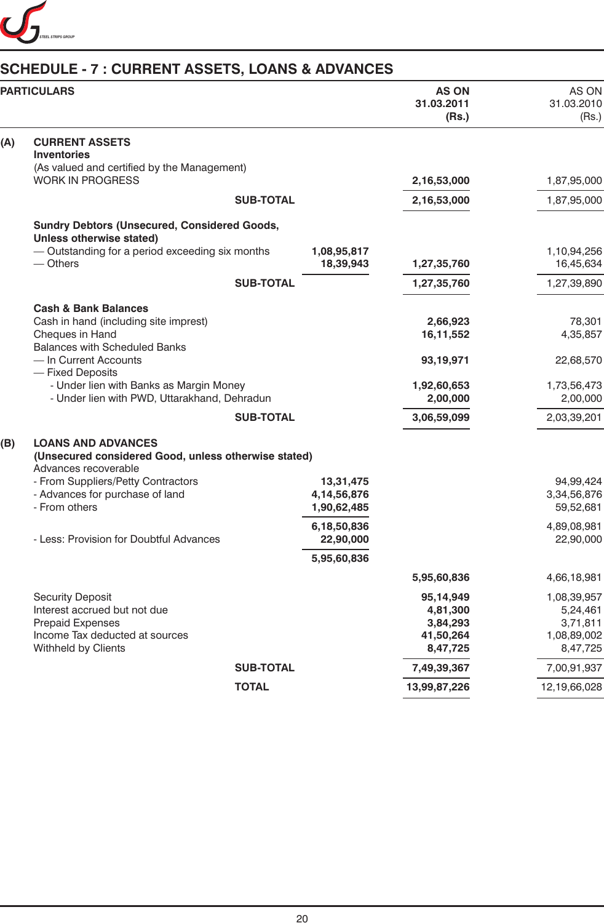

# **SCHEDULE - 7 : CURRENT ASSETS, LOANS & ADVANCES**

|     | <b>PARTICULARS</b>                                                           |             | <b>AS ON</b><br>31.03.2011<br>(Rs.) | AS ON<br>31.03.2010<br>(Rs.) |
|-----|------------------------------------------------------------------------------|-------------|-------------------------------------|------------------------------|
| (A) | <b>CURRENT ASSETS</b>                                                        |             |                                     |                              |
|     | <b>Inventories</b>                                                           |             |                                     |                              |
|     | (As valued and certified by the Management)<br><b>WORK IN PROGRESS</b>       |             |                                     | 1,87,95,000                  |
|     |                                                                              |             | 2,16,53,000                         |                              |
|     | <b>SUB-TOTAL</b>                                                             |             | 2,16,53,000                         | 1,87,95,000                  |
|     | <b>Sundry Debtors (Unsecured, Considered Goods,</b>                          |             |                                     |                              |
|     | Unless otherwise stated)                                                     |             |                                     |                              |
|     | - Outstanding for a period exceeding six months                              | 1,08,95,817 |                                     | 1,10,94,256                  |
|     | $-$ Others                                                                   | 18,39,943   | 1,27,35,760                         | 16,45,634                    |
|     | <b>SUB-TOTAL</b>                                                             |             | 1,27,35,760                         | 1,27,39,890                  |
|     | <b>Cash &amp; Bank Balances</b>                                              |             |                                     |                              |
|     | Cash in hand (including site imprest)                                        |             | 2,66,923                            | 78,301                       |
|     | Cheques in Hand                                                              |             | 16,11,552                           | 4,35,857                     |
|     | <b>Balances with Scheduled Banks</b>                                         |             |                                     |                              |
|     | - In Current Accounts<br>- Fixed Deposits                                    |             | 93,19,971                           | 22,68,570                    |
|     | - Under lien with Banks as Margin Money                                      |             | 1,92,60,653                         | 1,73,56,473                  |
|     | - Under lien with PWD, Uttarakhand, Dehradun                                 |             | 2,00,000                            | 2,00,000                     |
|     | <b>SUB-TOTAL</b>                                                             |             | 3,06,59,099                         | 2,03,39,201                  |
| (B) | <b>LOANS AND ADVANCES</b>                                                    |             |                                     |                              |
|     | (Unsecured considered Good, unless otherwise stated)<br>Advances recoverable |             |                                     |                              |
|     | - From Suppliers/Petty Contractors                                           | 13,31,475   |                                     | 94,99,424                    |
|     | - Advances for purchase of land                                              | 4,14,56,876 |                                     | 3,34,56,876                  |
|     | - From others                                                                | 1,90,62,485 |                                     | 59,52,681                    |
|     |                                                                              | 6,18,50,836 |                                     | 4,89,08,981                  |
|     | - Less: Provision for Doubtful Advances                                      | 22,90,000   |                                     | 22,90,000                    |
|     |                                                                              | 5,95,60,836 |                                     |                              |
|     |                                                                              |             | 5,95,60,836                         | 4,66,18,981                  |
|     | <b>Security Deposit</b>                                                      |             | 95,14,949                           | 1,08,39,957                  |
|     | Interest accrued but not due                                                 |             | 4,81,300                            | 5,24,461                     |
|     | <b>Prepaid Expenses</b>                                                      |             | 3,84,293                            | 3,71,811                     |
|     | Income Tax deducted at sources                                               |             | 41,50,264                           | 1,08,89,002                  |
|     | Withheld by Clients                                                          |             | 8,47,725                            | 8,47,725                     |
|     | <b>SUB-TOTAL</b>                                                             |             | 7,49,39,367                         | 7,00,91,937                  |
|     | <b>TOTAL</b>                                                                 |             | 13,99,87,226                        | 12,19,66,028                 |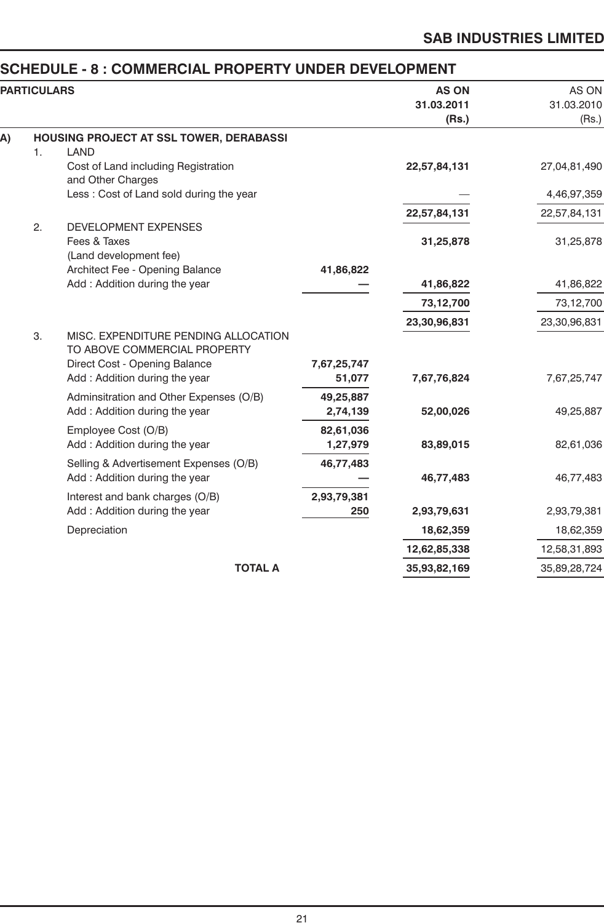# **SCHEDULE - 8 : COMMERCIAL PROPERTY UNDER DEVELOPMENT**<br>PARTICULARS AS O

|    | <b>PARTICULARS</b> |                                                                                                                                        |                       | <b>AS ON</b><br>31.03.2011<br>(Rs.) | AS ON<br>31.03.2010<br>(Rs.) |
|----|--------------------|----------------------------------------------------------------------------------------------------------------------------------------|-----------------------|-------------------------------------|------------------------------|
| A) |                    | HOUSING PROJECT AT SSL TOWER, DERABASSI                                                                                                |                       |                                     |                              |
|    | 1.                 | LAND                                                                                                                                   |                       |                                     |                              |
|    |                    | Cost of Land including Registration<br>and Other Charges                                                                               |                       | 22,57,84,131                        | 27,04,81,490                 |
|    |                    | Less: Cost of Land sold during the year                                                                                                |                       |                                     | 4,46,97,359                  |
|    |                    |                                                                                                                                        |                       | 22,57,84,131                        | 22,57,84,131                 |
|    | 2.                 | <b>DEVELOPMENT EXPENSES</b>                                                                                                            |                       |                                     |                              |
|    |                    | Fees & Taxes                                                                                                                           |                       | 31,25,878                           | 31,25,878                    |
|    |                    | (Land development fee)<br>Architect Fee - Opening Balance                                                                              | 41,86,822             |                                     |                              |
|    |                    | Add: Addition during the year                                                                                                          |                       | 41,86,822                           | 41,86,822                    |
|    |                    |                                                                                                                                        |                       | 73,12,700                           | 73,12,700                    |
|    |                    |                                                                                                                                        |                       | 23,30,96,831                        | 23,30,96,831                 |
|    | 3.                 | MISC. EXPENDITURE PENDING ALLOCATION<br>TO ABOVE COMMERCIAL PROPERTY<br>Direct Cost - Opening Balance<br>Add: Addition during the year | 7,67,25,747<br>51,077 |                                     | 7,67,25,747                  |
|    |                    |                                                                                                                                        |                       | 7,67,76,824                         |                              |
|    |                    | Adminsitration and Other Expenses (O/B)<br>Add: Addition during the year                                                               | 49,25,887<br>2,74,139 | 52,00,026                           | 49,25,887                    |
|    |                    | Employee Cost (O/B)<br>Add: Addition during the year                                                                                   | 82,61,036<br>1,27,979 | 83,89,015                           | 82,61,036                    |
|    |                    | Selling & Advertisement Expenses (O/B)<br>Add: Addition during the year                                                                | 46,77,483             | 46,77,483                           | 46,77,483                    |
|    |                    | Interest and bank charges (O/B)                                                                                                        | 2,93,79,381           |                                     |                              |
|    |                    | Add: Addition during the year                                                                                                          | 250                   | 2,93,79,631                         | 2,93,79,381                  |
|    |                    | Depreciation                                                                                                                           |                       | 18,62,359                           | 18,62,359                    |
|    |                    |                                                                                                                                        |                       | 12,62,85,338                        | 12,58,31,893                 |
|    |                    | <b>TOTAL A</b>                                                                                                                         |                       | 35,93,82,169                        | 35,89,28,724                 |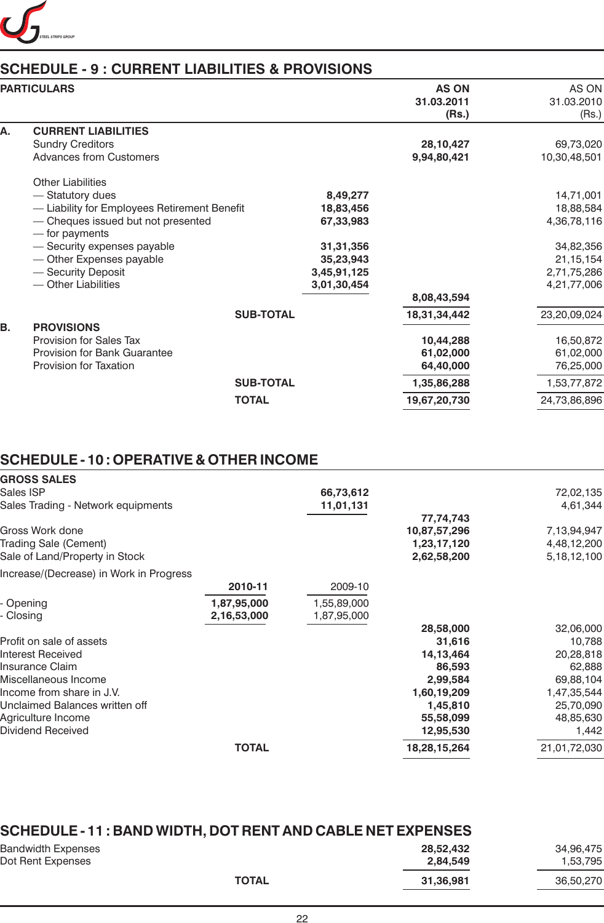

# **SCHEDULE - 9 : CURRENT LIABILITIES & PROVISIONS**

|    | <b>PARTICULARS</b>                                                                                                                                                                                                                                           |                                                                                            | <b>AS ON</b><br>31.03.2011<br>(Rs.)                                                | AS ON<br>31.03.2010<br>(Rs.)                                                                    |
|----|--------------------------------------------------------------------------------------------------------------------------------------------------------------------------------------------------------------------------------------------------------------|--------------------------------------------------------------------------------------------|------------------------------------------------------------------------------------|-------------------------------------------------------------------------------------------------|
| А. | <b>CURRENT LIABILITIES</b><br><b>Sundry Creditors</b><br><b>Advances from Customers</b>                                                                                                                                                                      |                                                                                            | 28,10,427<br>9,94,80,421                                                           | 69,73,020<br>10,30,48,501                                                                       |
|    | <b>Other Liabilities</b><br>- Statutory dues<br>- Liability for Employees Retirement Benefit<br>- Cheques issued but not presented<br>— for payments<br>- Security expenses payable<br>- Other Expenses payable<br>- Security Deposit<br>- Other Liabilities | 8,49,277<br>18,83,456<br>67,33,983<br>31,31,356<br>35,23,943<br>3,45,91,125<br>3,01,30,454 | 8,08,43,594                                                                        | 14,71,001<br>18,88,584<br>4,36,78,116<br>34,82,356<br>21, 15, 154<br>2,71,75,286<br>4,21,77,006 |
| В. | <b>SUB-TOTAL</b><br><b>PROVISIONS</b><br>Provision for Sales Tax<br><b>Provision for Bank Guarantee</b><br>Provision for Taxation<br><b>SUB-TOTAL</b><br><b>TOTAL</b>                                                                                        |                                                                                            | 18,31,34,442<br>10,44,288<br>61,02,000<br>64,40,000<br>1,35,86,288<br>19,67,20,730 | 23,20,09,024<br>16,50,872<br>61,02,000<br>76,25,000<br>1,53,77,872<br>24,73,86,896              |

# **SCHEDULE - 10 : OPERATIVE & OTHER INCOME**

| <b>GROSS SALES</b>                      |              |             |              |                |
|-----------------------------------------|--------------|-------------|--------------|----------------|
| Sales ISP                               |              | 66,73,612   |              | 72,02,135      |
| Sales Trading - Network equipments      |              | 11,01,131   |              | 4,61,344       |
|                                         |              |             | 77,74,743    |                |
| Gross Work done                         |              |             | 10,87,57,296 | 7,13,94,947    |
| <b>Trading Sale (Cement)</b>            |              |             | 1,23,17,120  | 4,48,12,200    |
| Sale of Land/Property in Stock          |              |             | 2,62,58,200  | 5, 18, 12, 100 |
| Increase/(Decrease) in Work in Progress |              |             |              |                |
|                                         | 2010-11      | 2009-10     |              |                |
| Opening                                 | 1,87,95,000  | 1,55,89,000 |              |                |
| Closing                                 | 2,16,53,000  | 1,87,95,000 |              |                |
|                                         |              |             | 28,58,000    | 32,06,000      |
| Profit on sale of assets                |              |             | 31,616       | 10,788         |
| Interest Received                       |              |             | 14, 13, 464  | 20,28,818      |
| Insurance Claim                         |              |             | 86,593       | 62,888         |
| Miscellaneous Income                    |              |             | 2,99,584     | 69,88,104      |
| Income from share in J.V.               |              |             | 1,60,19,209  | 1,47,35,544    |
| Unclaimed Balances written off          |              |             | 1,45,810     | 25,70,090      |
| Agriculture Income                      |              |             | 55,58,099    | 48,85,630      |
| Dividend Received                       |              |             | 12,95,530    | 1,442          |
|                                         | <b>TOTAL</b> |             | 18,28,15,264 | 21,01,72,030   |
|                                         |              |             |              |                |

| SCHEDULE - 11 : BAND WIDTH, DOT RENT AND CABLE NET EXPENSES |                       |                       |
|-------------------------------------------------------------|-----------------------|-----------------------|
| Bandwidth Expenses<br>Dot Rent Expenses                     | 28.52.432<br>2.84.549 | 34.96.475<br>1,53,795 |
| <b>TOTAL</b>                                                | 31.36.981             | 36,50,270             |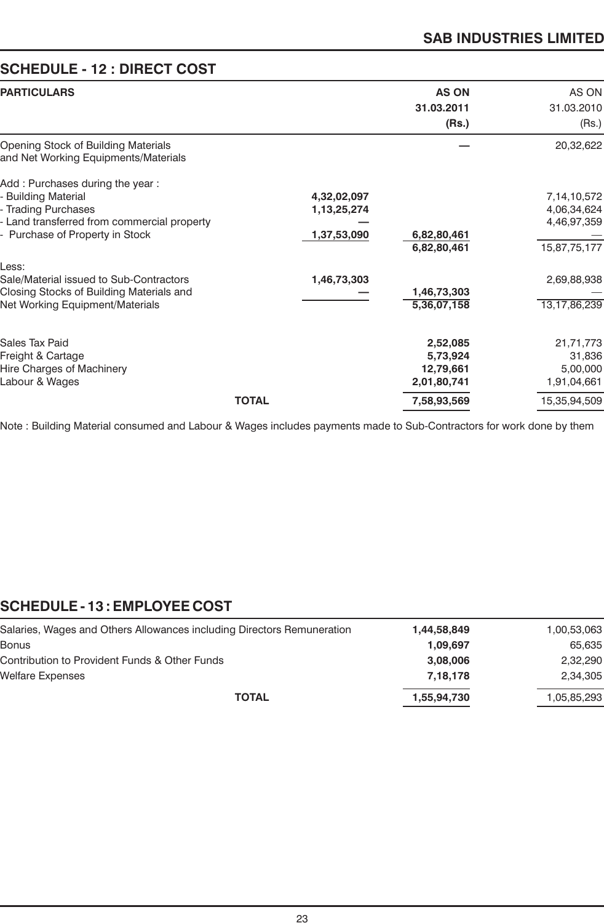# **SCHEDULE - 12 : DIRECT COST**

| <b>PARTICULARS</b>                                                                                                                                              |              |                                           | <b>AS ON</b><br>31.03.2011                       | AS ON<br>31.03.2010                                       |
|-----------------------------------------------------------------------------------------------------------------------------------------------------------------|--------------|-------------------------------------------|--------------------------------------------------|-----------------------------------------------------------|
|                                                                                                                                                                 |              |                                           | (Rs.)                                            | (Rs.)                                                     |
| Opening Stock of Building Materials<br>and Net Working Equipments/Materials                                                                                     |              |                                           |                                                  | 20,32,622                                                 |
| Add: Purchases during the year:<br>- Building Material<br>- Trading Purchases<br>- Land transferred from commercial property<br>- Purchase of Property in Stock |              | 4,32,02,097<br>1,13,25,274<br>1,37,53,090 | 6,82,80,461<br>6,82,80,461                       | 7,14,10,572<br>4,06,34,624<br>4,46,97,359<br>15,87,75,177 |
| Less:<br>Sale/Material issued to Sub-Contractors<br>Closing Stocks of Building Materials and<br>Net Working Equipment/Materials                                 |              | 1,46,73,303                               | 1,46,73,303<br>5,36,07,158                       | 2,69,88,938<br>13,17,86,239                               |
| Sales Tax Paid<br>Freight & Cartage<br>Hire Charges of Machinery<br>Labour & Wages                                                                              |              |                                           | 2,52,085<br>5,73,924<br>12,79,661<br>2,01,80,741 | 21,71,773<br>31,836<br>5,00,000<br>1,91,04,661            |
|                                                                                                                                                                 | <b>TOTAL</b> |                                           | 7,58,93,569                                      | 15,35,94,509                                              |

Note : Building Material consumed and Labour & Wages includes payments made to Sub-Contractors for work done by them

# **SCHEDULE - 13 : EMPLOYEE COST**

| Salaries, Wages and Others Allowances including Directors Remuneration | 1,44,58,849 | 1,00,53,063 |
|------------------------------------------------------------------------|-------------|-------------|
| Bonus                                                                  | 1.09.697    | 65,635      |
| Contribution to Provident Funds & Other Funds                          | 3,08,006    | 2,32,290    |
| Welfare Expenses                                                       | 7.18.178    | 2,34,305    |
| <b>TOTAL</b>                                                           | 1,55,94,730 | 1,05,85,293 |
|                                                                        |             |             |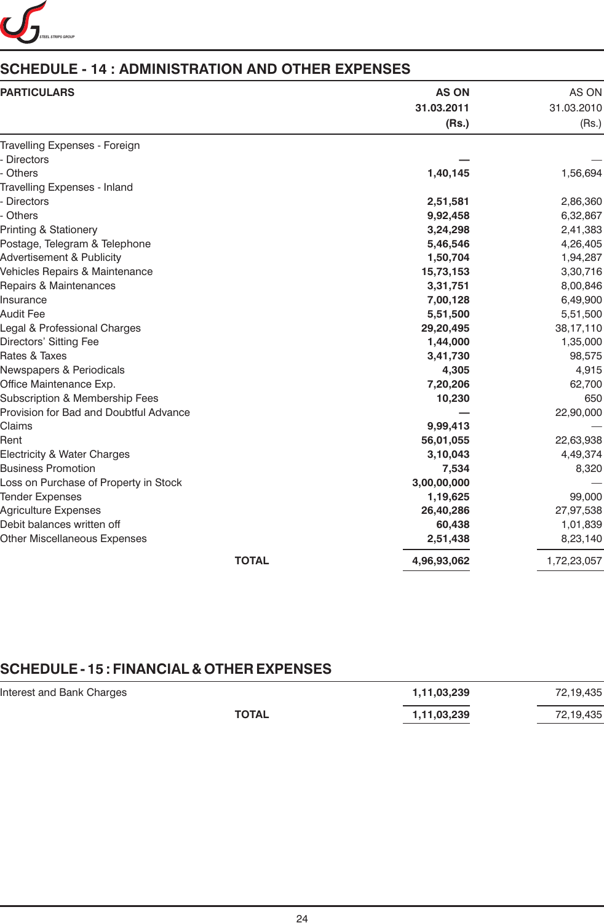

# **SCHEDULE - 14 : ADMINISTRATION AND OTHER EXPENSES**

| <b>PARTICULARS</b>                     | <b>AS ON</b><br>31.03.2011 | AS ON<br>31.03.2010 |
|----------------------------------------|----------------------------|---------------------|
|                                        | (Rs.)                      | (Rs.)               |
| Travelling Expenses - Foreign          |                            |                     |
| - Directors                            |                            |                     |
| - Others                               | 1,40,145                   | 1,56,694            |
| Travelling Expenses - Inland           |                            |                     |
| - Directors                            | 2,51,581                   | 2,86,360            |
| - Others                               | 9,92,458                   | 6,32,867            |
| Printing & Stationery                  | 3,24,298                   | 2,41,383            |
| Postage, Telegram & Telephone          | 5,46,546                   | 4,26,405            |
| Advertisement & Publicity              | 1,50,704                   | 1,94,287            |
| Vehicles Repairs & Maintenance         | 15,73,153                  | 3,30,716            |
| Repairs & Maintenances                 | 3,31,751                   | 8,00,846            |
| Insurance                              | 7,00,128                   | 6,49,900            |
| Audit Fee                              | 5,51,500                   | 5,51,500            |
| Legal & Professional Charges           | 29,20,495                  | 38,17,110           |
| Directors' Sitting Fee                 | 1,44,000                   | 1,35,000            |
| Rates & Taxes                          | 3,41,730                   | 98,575              |
| <b>Newspapers &amp; Periodicals</b>    | 4,305                      | 4,915               |
| Office Maintenance Exp.                | 7,20,206                   | 62,700              |
| Subscription & Membership Fees         | 10,230                     | 650                 |
| Provision for Bad and Doubtful Advance |                            | 22,90,000           |
| Claims                                 | 9,99,413                   |                     |
| Rent                                   | 56,01,055                  | 22,63,938           |
| Electricity & Water Charges            | 3,10,043                   | 4,49,374            |
| <b>Business Promotion</b>              | 7,534                      | 8,320               |
| Loss on Purchase of Property in Stock  | 3,00,00,000                |                     |
| <b>Tender Expenses</b>                 | 1,19,625                   | 99,000              |
| <b>Agriculture Expenses</b>            | 26,40,286                  | 27,97,538           |
| Debit balances written off             | 60,438                     | 1,01,839            |
| <b>Other Miscellaneous Expenses</b>    | 2,51,438                   | 8,23,140            |
| <b>TOTAL</b>                           | 4,96,93,062                | 1,72,23,057         |

# **SCHEDULE - 15 : FINANCIAL & OTHER EXPENSES**

| Interest and Bank Charges |              | 1,11,03,239 | 72,19,435 |
|---------------------------|--------------|-------------|-----------|
|                           | <b>TOTAL</b> | 1,11,03,239 | 72,19,435 |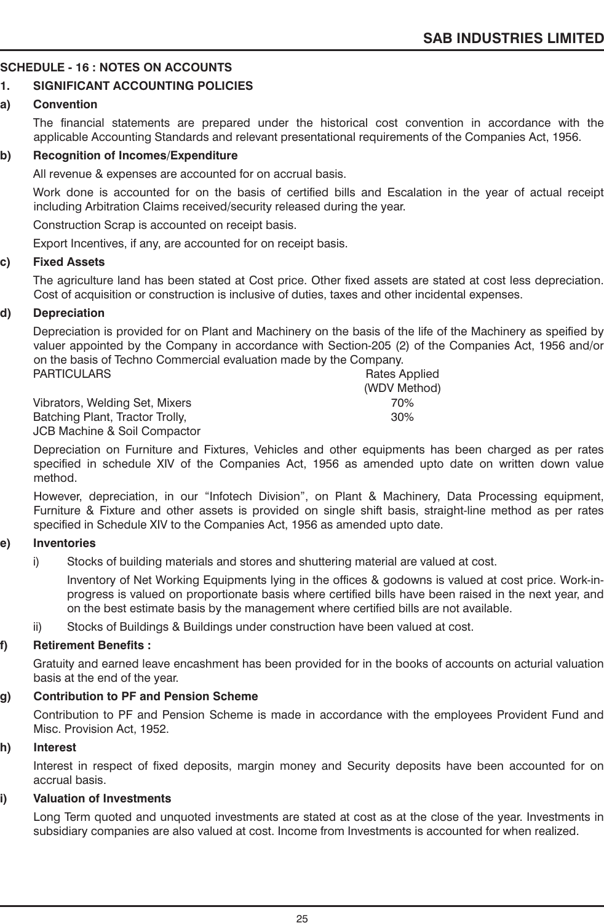# **SCHEDULE - 16 : NOTES ON ACCOUNTS**

# **1. SIGNIFICANT ACCOUNTING POLICIES**

# **a) Convention**

The financial statements are prepared under the historical cost convention in accordance with the applicable Accounting Standards and relevant presentational requirements of the Companies Act, 1956.

# **b) Recognition of Incomes/Expenditure**

All revenue & expenses are accounted for on accrual basis.

Work done is accounted for on the basis of certified bills and Escalation in the year of actual receipt including Arbitration Claims received/security released during the year.

Construction Scrap is accounted on receipt basis.

Export Incentives, if any, are accounted for on receipt basis.

#### **c) Fixed Assets**

The agriculture land has been stated at Cost price. Other fixed assets are stated at cost less depreciation. Cost of acquisition or construction is inclusive of duties, taxes and other incidental expenses.

# **d) Depreciation**

Depreciation is provided for on Plant and Machinery on the basis of the life of the Machinery as speified by valuer appointed by the Company in accordance with Section-205 (2) of the Companies Act, 1956 and/or on the basis of Techno Commercial evaluation made by the Company.

| <b>PARTICULARS</b>              | Rates Applied |
|---------------------------------|---------------|
|                                 | (WDV Method)  |
| Vibrators, Welding Set, Mixers  | 70%           |
| Batching Plant, Tractor Trolly, | 30%           |
| JCB Machine & Soil Compactor    |               |

Depreciation on Furniture and Fixtures, Vehicles and other equipments has been charged as per rates specified in schedule XIV of the Companies Act, 1956 as amended upto date on written down value method.

However, depreciation, in our "Infotech Division", on Plant & Machinery, Data Processing equipment, Furniture & Fixture and other assets is provided on single shift basis, straight-line method as per rates specified in Schedule XIV to the Companies Act, 1956 as amended upto date.

# **e) Inventories**

i) Stocks of building materials and stores and shuttering material are valued at cost.

Inventory of Net Working Equipments lying in the offices & godowns is valued at cost price. Work-inprogress is valued on proportionate basis where certified bills have been raised in the next year, and on the best estimate basis by the management where certified bills are not available.

ii) Stocks of Buildings & Buildings under construction have been valued at cost.

# **f) Retirement Benefits :**

Gratuity and earned leave encashment has been provided for in the books of accounts on acturial valuation basis at the end of the year.

# **g) Contribution to PF and Pension Scheme**

Contribution to PF and Pension Scheme is made in accordance with the employees Provident Fund and Misc. Provision Act, 1952.

# **h) Interest**

Interest in respect of fixed deposits, margin money and Security deposits have been accounted for on accrual basis.

# **i) Valuation of Investments**

Long Term quoted and unquoted investments are stated at cost as at the close of the year. Investments in subsidiary companies are also valued at cost. Income from Investments is accounted for when realized.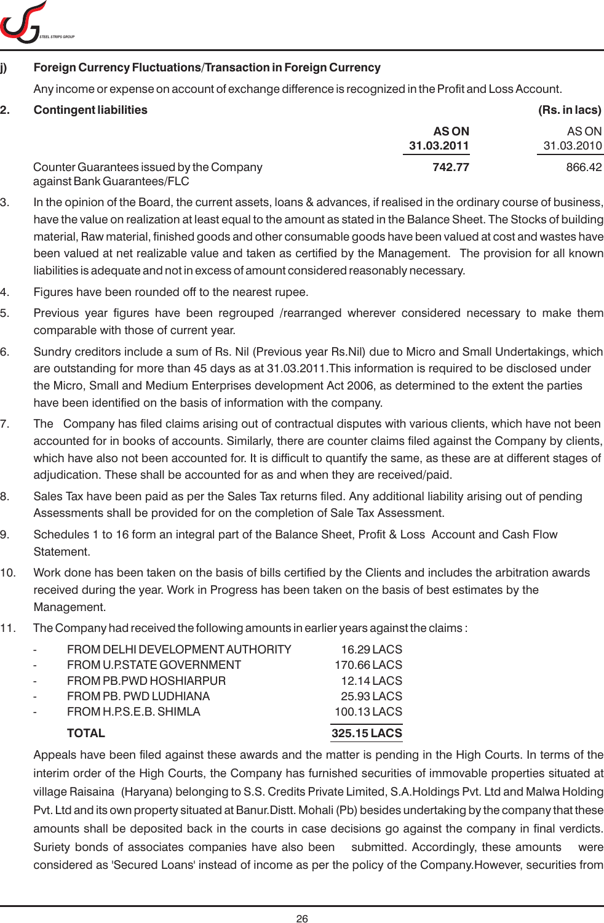

# **j) Foreign Currency Fluctuations/Transaction in Foreign Currency**

Any income or expense on account of exchange difference is recognized in the Profit and Loss Account.

| <b>Contingent liabilities</b>                                           |             | (Rs. in lacs) |
|-------------------------------------------------------------------------|-------------|---------------|
|                                                                         | <b>ASON</b> | AS ON         |
|                                                                         | 31.03.2011  | 31.03.2010    |
| Counter Guarantees issued by the Company<br>against Bank Guarantees/FLC | 742.77      | 866.42        |

- 3. In the opinion of the Board, the current assets, loans & advances, if realised in the ordinary course of business, have the value on realization at least equal to the amount as stated in the Balance Sheet. The Stocks of building material, Raw material, finished goods and other consumable goods have been valued at cost and wastes have been valued at net realizable value and taken as certified by the Management. The provision for all known liabilities is adequate and not in excess of amount considered reasonably necessary.
- 4. Figures have been rounded off to the nearest rupee.
- 5. Previous year figures have been regrouped /rearranged wherever considered necessary to make them comparable with those of current year.
- 6. Sundry creditors include a sum of Rs. Nil (Previous year Rs.Nil) due to Micro and Small Undertakings, which are outstanding for more than 45 days as at 31.03.2011.This information is required to be disclosed under the Micro, Small and Medium Enterprises development Act 2006, as determined to the extent the parties have been identified on the basis of information with the company.
- 7. The Company has filed claims arising out of contractual disputes with various clients, which have not been accounted for in books of accounts. Similarly, there are counter claims filed against the Company by clients, which have also not been accounted for. It is difficult to quantify the same, as these are at different stages of adjudication. These shall be accounted for as and when they are received/paid.
- 8. Sales Tax have been paid as per the Sales Tax returns filed. Any additional liability arising out of pending Assessments shall be provided for on the completion of Sale Tax Assessment.
- 9. Schedules 1 to 16 form an integral part of the Balance Sheet, Profit & Loss Account and Cash Flow **Statement**
- 10. Work done has been taken on the basis of bills certified by the Clients and includes the arbitration awards received during the year. Work in Progress has been taken on the basis of best estimates by the Management.
- 11. The Company had received the following amounts in earlier years against the claims :

|   | <b>TOTAL</b>                     | 325.15 LACS |
|---|----------------------------------|-------------|
|   | FROM H.P.S.E.B. SHIMLA           | 100.13 LACS |
| - | FROM PB. PWD LUDHIANA            | 25.93 LACS  |
| - | FROM PB.PWD HOSHIARPUR           | 12.14 LACS  |
| - | FROM U.P.STATE GOVERNMENT        | 170.66 LACS |
| - | FROM DELHI DEVELOPMENT AUTHORITY | 16.29 LACS  |

Appeals have been filed against these awards and the matter is pending in the High Courts. In terms of the interim order of the High Courts, the Company has furnished securities of immovable properties situated at village Raisaina (Haryana) belonging to S.S. Credits Private Limited, S.A.Holdings Pvt. Ltd and Malwa Holding Pvt. Ltd and its own property situated at Banur.Distt. Mohali (Pb) besides undertaking by the company that these amounts shall be deposited back in the courts in case decisions go against the company in final verdicts. Suriety bonds of associates companies have also been submitted. Accordingly, these amounts were considered as 'Secured Loans' instead of income as per the policy of the Company.However, securities from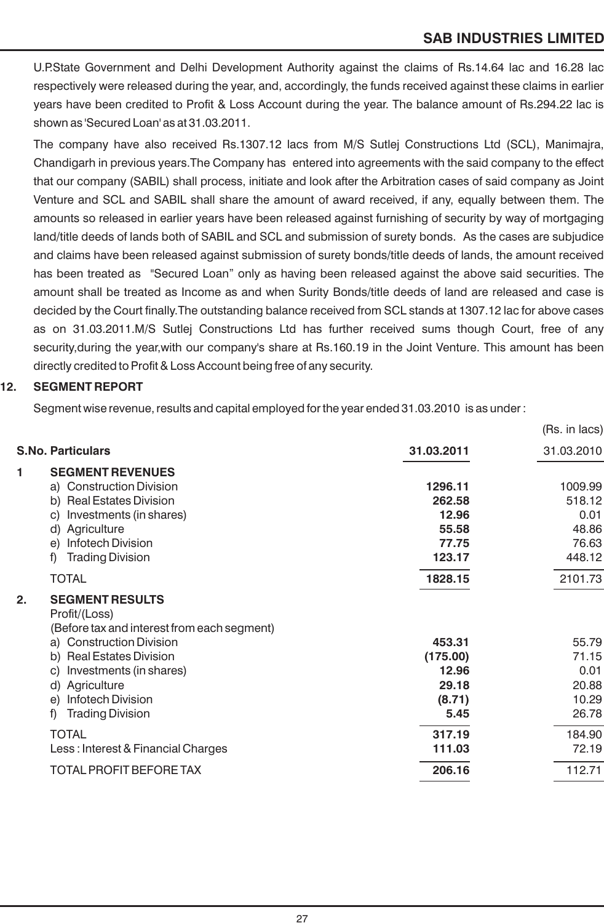U.P.State Government and Delhi Development Authority against the claims of Rs.14.64 lac and 16.28 lac respectively were released during the year, and, accordingly, the funds received against these claims in earlier years have been credited to Profit & Loss Account during the year. The balance amount of Rs.294.22 lac is shown as 'Secured Loan' as at 31.03.2011.

The company have also received Rs.1307.12 lacs from M/S Sutlej Constructions Ltd (SCL), Manimajra, Chandigarh in previous years.The Company has entered into agreements with the said company to the effect that our company (SABIL) shall process, initiate and look after the Arbitration cases of said company as Joint Venture and SCL and SABIL shall share the amount of award received, if any, equally between them. The amounts so released in earlier years have been released against furnishing of security by way of mortgaging land/title deeds of lands both of SABIL and SCL and submission of surety bonds. As the cases are subjudice and claims have been released against submission of surety bonds/title deeds of lands, the amount received has been treated as "Secured Loan" only as having been released against the above said securities. The amount shall be treated as Income as and when Surity Bonds/title deeds of land are released and case is decided by the Court finally.The outstanding balance received from SCL stands at 1307.12 lac for above cases as on 31.03.2011.M/S Sutlej Constructions Ltd has further received sums though Court, free of any security,during the year,with our company's share at Rs.160.19 in the Joint Venture. This amount has been directly credited to Profit & Loss Account being free of any security.

# **12. SEGMENT REPORT**

Segment wise revenue, results and capital employed for the year ended 31.03.2010 is as under :

|    |                                                                                        |            | (Rs. in lacs) |
|----|----------------------------------------------------------------------------------------|------------|---------------|
|    | <b>S.No. Particulars</b>                                                               | 31.03.2011 | 31.03.2010    |
| 1  | <b>SEGMENT REVENUES</b>                                                                |            |               |
|    | a) Construction Division                                                               | 1296.11    | 1009.99       |
|    | b) Real Estates Division                                                               | 262.58     | 518.12        |
|    | Investments (in shares)<br>C)                                                          | 12.96      | 0.01          |
|    | d) Agriculture                                                                         | 55.58      | 48.86         |
|    | <b>Infotech Division</b><br>e)                                                         | 77.75      | 76.63         |
|    | f)<br><b>Trading Division</b>                                                          | 123.17     | 448.12        |
|    | <b>TOTAL</b>                                                                           | 1828.15    | 2101.73       |
| 2. | <b>SEGMENT RESULTS</b><br>Profit/(Loss)<br>(Before tax and interest from each segment) |            |               |
|    | a) Construction Division                                                               | 453.31     | 55.79         |
|    | b) Real Estates Division                                                               | (175.00)   | 71.15         |
|    | Investments (in shares)<br>C)                                                          | 12.96      | 0.01          |
|    | d) Agriculture                                                                         | 29.18      | 20.88         |
|    | Infotech Division<br>e)                                                                | (8.71)     | 10.29         |
|    | f)<br><b>Trading Division</b>                                                          | 5.45       | 26.78         |
|    | <b>TOTAL</b>                                                                           | 317.19     | 184.90        |
|    | Less: Interest & Financial Charges                                                     | 111.03     | 72.19         |
|    | <b>TOTAL PROFIT BEFORE TAX</b>                                                         | 206.16     | 112.71        |
|    |                                                                                        |            |               |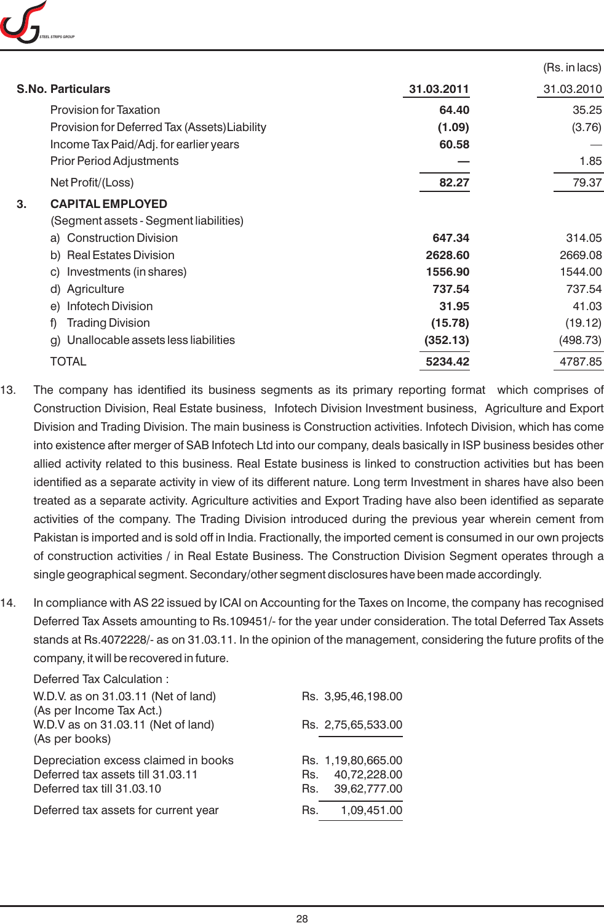

|                                               |            | (Rs. in lacs) |
|-----------------------------------------------|------------|---------------|
| <b>S.No. Particulars</b>                      | 31.03.2011 | 31.03.2010    |
| <b>Provision for Taxation</b>                 | 64.40      | 35.25         |
| Provision for Deferred Tax (Assets) Liability | (1.09)     | (3.76)        |
| Income Tax Paid/Adj. for earlier years        | 60.58      |               |
| <b>Prior Period Adjustments</b>               |            | 1.85          |
| Net Profit/(Loss)                             | 82.27      | 79.37         |
| <b>CAPITAL EMPLOYED</b><br>3.                 |            |               |
| (Segment assets - Segment liabilities)        |            |               |
| a) Construction Division                      | 647.34     | 314.05        |
| b) Real Estates Division                      | 2628.60    | 2669.08       |
| c) Investments (in shares)                    | 1556.90    | 1544.00       |
| d) Agriculture                                | 737.54     | 737.54        |
| <b>Infotech Division</b><br>e)                | 31.95      | 41.03         |
| <b>Trading Division</b><br>f)                 | (15.78)    | (19.12)       |
| Unallocable assets less liabilities<br>g)     | (352.13)   | (498.73)      |
| TOTAL                                         | 5234.42    | 4787.85       |

- 13. The company has identified its business segments as its primary reporting format which comprises of Construction Division, Real Estate business, Infotech Division Investment business, Agriculture and Export Division and Trading Division. The main business is Construction activities. Infotech Division, which has come into existence after merger of SAB Infotech Ltd into our company, deals basically in ISP business besides other allied activity related to this business. Real Estate business is linked to construction activities but has been identified as a separate activity in view of its different nature. Long term Investment in shares have also been treated as a separate activity. Agriculture activities and Export Trading have also been identified as separate activities of the company. The Trading Division introduced during the previous year wherein cement from Pakistan is imported and is sold off in India. Fractionally, the imported cement is consumed in our own projects of construction activities / in Real Estate Business. The Construction Division Segment operates through a single geographical segment. Secondary/other segment disclosures have been made accordingly.
- 14. In compliance with AS 22 issued by ICAI on Accounting for the Taxes on Income, the company has recognised Deferred Tax Assets amounting to Rs.109451/- for the year under consideration. The total Deferred Tax Assets stands at Rs.4072228/- as on 31.03.11. In the opinion of the management, considering the future profits of the company, it will be recovered in future.

| Deferred Tax Calculation :                                                                              |            |                                                    |
|---------------------------------------------------------------------------------------------------------|------------|----------------------------------------------------|
| W.D.V. as on 31.03.11 (Net of land)<br>(As per Income Tax Act.)                                         |            | Rs. 3,95,46,198.00                                 |
| W.D.V as on 31.03.11 (Net of land)<br>(As per books)                                                    |            | Rs. 2,75,65,533.00                                 |
| Depreciation excess claimed in books<br>Deferred tax assets till 31.03.11<br>Deferred tax till 31.03.10 | Rs.<br>Rs. | Rs. 1,19,80,665.00<br>40,72,228.00<br>39,62,777.00 |
| Deferred tax assets for current year                                                                    | Rs.        | 1,09,451.00                                        |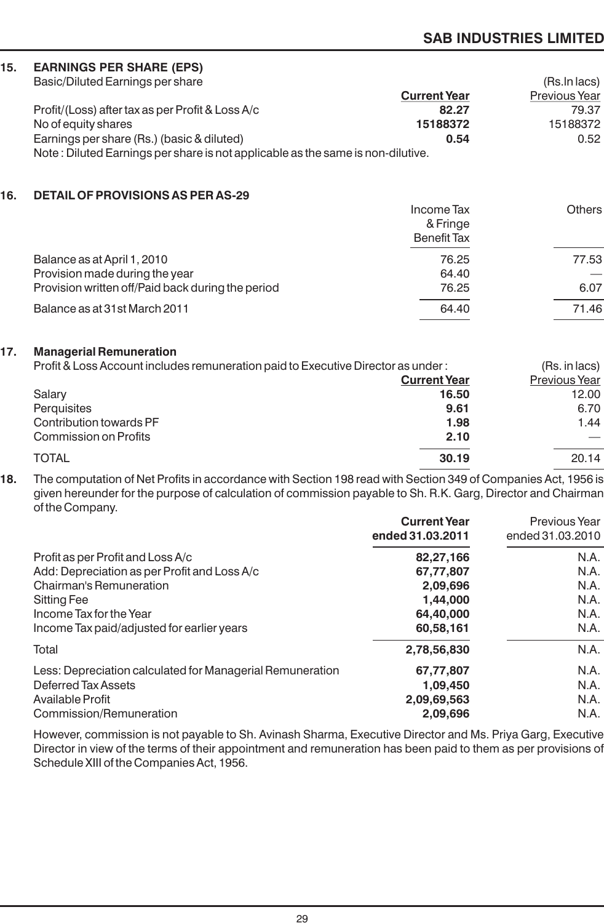| 15. | <b>EARNINGS PER SHARE (EPS)</b>                                                                               |                     |               |
|-----|---------------------------------------------------------------------------------------------------------------|---------------------|---------------|
|     | Basic/Diluted Earnings per share                                                                              |                     | (Rs.In lacs)  |
|     |                                                                                                               | <b>Current Year</b> | Previous Year |
|     | Profit/(Loss) after tax as per Profit & Loss A/c                                                              | 82.27               | 79.37         |
|     | No of equity shares                                                                                           | 15188372            | 15188372      |
|     | Earnings per share (Rs.) (basic & diluted)                                                                    | 0.54                | 0.52          |
|     | Note: Diluted Earnings per share is not applicable as the same is non-dilutive.                               |                     |               |
| 16. | <b>DETAIL OF PROVISIONS AS PER AS-29</b>                                                                      |                     |               |
|     |                                                                                                               | <b>Income Tax</b>   | <b>Others</b> |
|     |                                                                                                               | & Fringe            |               |
|     |                                                                                                               | <b>Benefit Tax</b>  |               |
|     | Balance as at April 1, 2010                                                                                   | 76.25               | 77.53         |
|     | Provision made during the year                                                                                | 64.40               |               |
|     | Provision written off/Paid back during the period                                                             | 76.25               | 6.07          |
|     | Balance as at 31st March 2011                                                                                 | 64.40               | 71.46         |
| 17. | <b>Managerial Remuneration</b>                                                                                |                     |               |
|     | Profit & Loss Account includes remuneration paid to Executive Director as under:                              |                     | (Rs. in lacs) |
|     |                                                                                                               | <b>Current Year</b> | Previous Year |
|     | Salary                                                                                                        | 16.50               | 12.00         |
|     | Perquisites                                                                                                   | 9.61                | 6.70          |
|     | Contribution towards PF                                                                                       | 1.98                | 1.44          |
|     | <b>Commission on Profits</b>                                                                                  | 2.10                |               |
|     | <b>TOTAL</b>                                                                                                  | 30.19               | 20.14         |
| 1 O | The computation of Net Profite in cooprignee with Costian 109 read with Costian 240 of Companies Ast, 1056 is |                     |               |

**18.** The computation of Net Profits in accordance with Section 198 read with Section 349 of Companies Act, 1956 is given hereunder for the purpose of calculation of commission payable to Sh. R.K. Garg, Director and Chairman of the Company.

|                                                           | <b>Current Year</b><br>ended 31.03.2011 | Previous Year<br>ended 31.03.2010 |
|-----------------------------------------------------------|-----------------------------------------|-----------------------------------|
| Profit as per Profit and Loss A/c                         | 82,27,166                               | N.A.                              |
| Add: Depreciation as per Profit and Loss A/c              | 67,77,807                               | N.A.                              |
| Chairman's Remuneration                                   | 2,09,696                                | N.A.                              |
| Sitting Fee                                               | 1,44,000                                | N.A.                              |
| Income Tax for the Year                                   | 64,40,000                               | N.A.                              |
| Income Tax paid/adjusted for earlier years                | 60,58,161                               | N.A.                              |
| Total                                                     | 2,78,56,830                             | N.A.                              |
| Less: Depreciation calculated for Managerial Remuneration | 67,77,807                               | N.A.                              |
| Deferred Tax Assets                                       | 1,09,450                                | N.A.                              |
| Available Profit                                          | 2,09,69,563                             | N.A.                              |
| Commission/Remuneration                                   | 2,09,696                                | N.A.                              |

However, commission is not payable to Sh. Avinash Sharma, Executive Director and Ms. Priya Garg, Executive Director in view of the terms of their appointment and remuneration has been paid to them as per provisions of Schedule XIII of the Companies Act, 1956.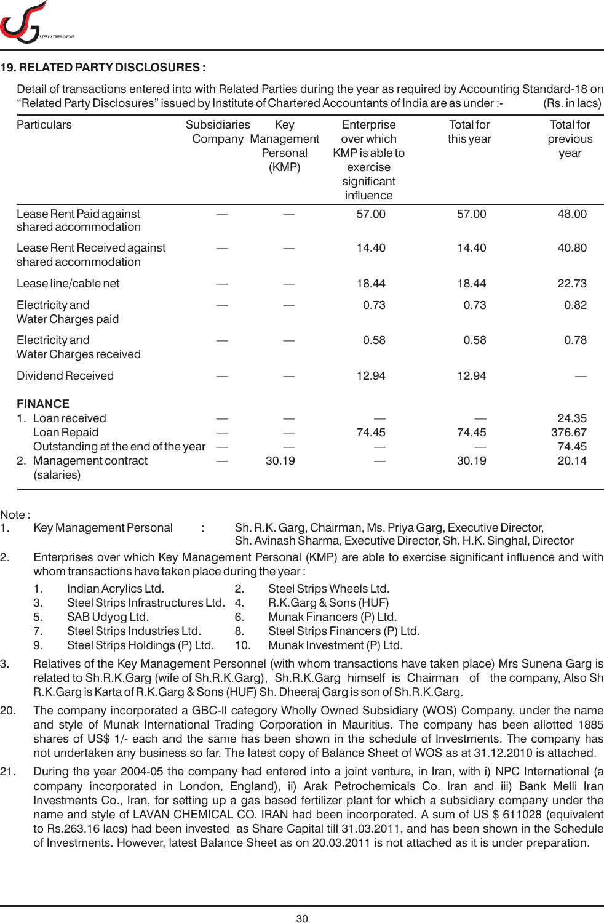

# **19. RELATED PARTY DISCLOSURES :**

Detail of transactions entered into with Related Parties during the year as required by Accounting Standard-18 on "Related Party Disclosures" issued by Institute of Chartered Accountants of India are as under :- (Rs. in lacs)

| Particulars                                                                   | Subsidiaries | Key                                     | Enterprise                                                           | <b>Total for</b> | <b>Total</b> for |
|-------------------------------------------------------------------------------|--------------|-----------------------------------------|----------------------------------------------------------------------|------------------|------------------|
|                                                                               |              | Company Management<br>Personal<br>(KMP) | over which<br>KMP is able to<br>exercise<br>significant<br>influence | this year        | previous<br>year |
| Lease Rent Paid against<br>shared accommodation                               |              |                                         | 57.00                                                                | 57.00            | 48.00            |
| Lease Rent Received against<br>shared accommodation                           |              |                                         | 14.40                                                                | 14.40            | 40.80            |
| Lease line/cable net                                                          |              |                                         | 18.44                                                                | 18.44            | 22.73            |
| Electricity and<br>Water Charges paid                                         |              |                                         | 0.73                                                                 | 0.73             | 0.82             |
| Electricity and<br>Water Charges received                                     |              |                                         | 0.58                                                                 | 0.58             | 0.78             |
| <b>Dividend Received</b>                                                      |              |                                         | 12.94                                                                | 12.94            |                  |
| <b>FINANCE</b>                                                                |              |                                         |                                                                      |                  |                  |
| 1. Loan received                                                              |              |                                         |                                                                      |                  | 24.35            |
| Loan Repaid                                                                   |              |                                         | 74.45                                                                | 74.45            | 376.67           |
| Outstanding at the end of the year<br>Management contract<br>2.<br>(salaries) |              | 30.19                                   |                                                                      | 30.19            | 74.45<br>20.14   |

Note :

1. Key Management Personal : Sh. R.K. Garg, Chairman, Ms. Priya Garg, Executive Director,

Sh. Avinash Sharma, Executive Director, Sh. H.K. Singhal, Director

- 2. Enterprises over which Key Management Personal (KMP) are able to exercise significant influence and with whom transactions have taken place during the year :
	-
	- 1. Indian Acrylics Ltd. 2. Steel Strips Wheels Ltd.
	- 3. Steel Strips Infrastructures Ltd. 4. R.K.Garg & Sons (HUF)
		-
	- 5. SAB Udyog Ltd. 6. Munak Financers (P) Ltd.
	- 7. Steel Strips Industries Ltd. 8. Steel Strips Financers (P) Ltd.
	- 9. Steel Strips Holdings (P) Ltd. 10. Munak Investment (P) Ltd.
- 3. Relatives of the Key Management Personnel (with whom transactions have taken place) Mrs Sunena Garg is related to Sh.R.K.Garg (wife of Sh.R.K.Garg), Sh.R.K.Garg himself is Chairman of the company, Also Sh R.K.Garg is Karta of R.K.Garg & Sons (HUF) Sh. Dheeraj Garg is son of Sh.R.K.Garg.
- 20. The company incorporated a GBC-II category Wholly Owned Subsidiary (WOS) Company, under the name and style of Munak International Trading Corporation in Mauritius. The company has been allotted 1885 shares of US\$ 1/- each and the same has been shown in the schedule of Investments. The company has not undertaken any business so far. The latest copy of Balance Sheet of WOS as at 31.12.2010 is attached.
- 21. During the year 2004-05 the company had entered into a joint venture, in Iran, with i) NPC International (a company incorporated in London, England), ii) Arak Petrochemicals Co. Iran and iii) Bank Melli Iran Investments Co., Iran, for setting up a gas based fertilizer plant for which a subsidiary company under the name and style of LAVAN CHEMICAL CO. IRAN had been incorporated. A sum of US \$ 611028 (equivalent to Rs.263.16 lacs) had been invested as Share Capital till 31.03.2011, and has been shown in the Schedule of Investments. However, latest Balance Sheet as on 20.03.2011 is not attached as it is under preparation.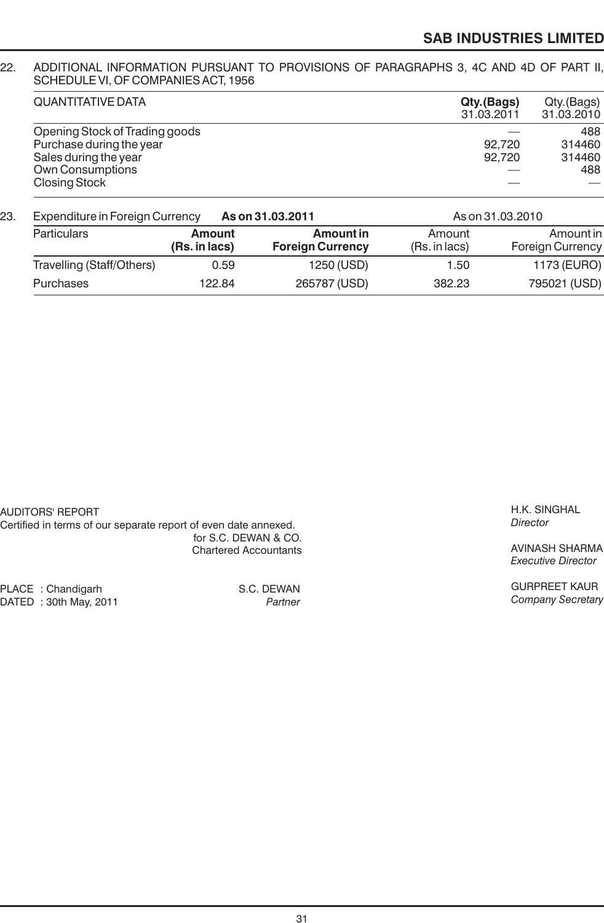#### 22. ADDITIONAL INFORMATION PURSUANT TO PROVISIONS OF PARAGRAPHS 3, 4C AND 4D OF PART II, SCHEDULE VI, OF COMPANIES ACT, 1956

| <b>QUANTITATIVE DATA</b>       | Qty.(Bags)<br>31.03.2011 | Qty.(Bags)<br>31.03.2010 |
|--------------------------------|--------------------------|--------------------------|
| Opening Stock of Trading goods |                          | 488                      |
| Purchase during the year       | 92.720                   | 314460                   |
| Sales during the year          | 92.720                   | 314460                   |
| Own Consumptions               |                          | 488                      |
| <b>Closing Stock</b>           |                          |                          |

| 23. | <b>Expenditure in Foreign Currency</b><br>As on 31.03.2011 |                                |                                      | As on 31.03.2010        |                                      |
|-----|------------------------------------------------------------|--------------------------------|--------------------------------------|-------------------------|--------------------------------------|
|     | <b>Particulars</b>                                         | <b>Amount</b><br>(Rs. in lacs) | Amount in<br><b>Foreign Currency</b> | Amount<br>(Rs. in lacs) | Amount in<br><b>Foreign Currency</b> |
|     | Travelling (Staff/Others)                                  | 0.59                           | 1250 (USD)                           | 1.50                    | 1173 (EURO)                          |
|     | Purchases                                                  | 122.84                         | 265787 (USD)                         | 382.23                  | 795021 (USD)                         |

AUDITORS' REPORT

Certified in terms of our separate report of even date annexed. for S.C. DEWAN & CO. Chartered Accountants

PLACE : Chandigarh S.C. DEWAN<br>DATED : 30th May, 2011 Sammer S.C. DEWAN DATED : 30th May, 2011 *Partner*

H.K. SINGHAL *Director*

AVINASH SHARMA *Executive Director*

GURPREET KAUR *Company Secretary*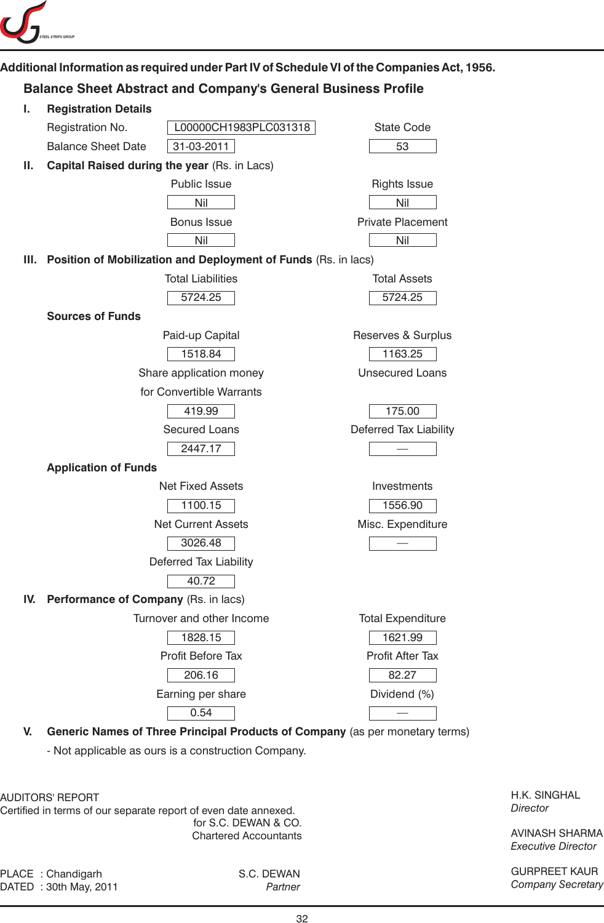

# **Additional Information as required under Part IV of Schedule VI of the Companies Act, 1956.**

# **Balance Sheet Abstract and Company's General Business Profile**

| ı.   | <b>Registration Details</b>                  |                                                                              |                          |
|------|----------------------------------------------|------------------------------------------------------------------------------|--------------------------|
|      | Registration No.                             | L00000CH1983PLC031318                                                        | <b>State Code</b>        |
|      | <b>Balance Sheet Date</b>                    | 31-03-2011                                                                   | 53                       |
| Ш.   | Capital Raised during the year (Rs. in Lacs) |                                                                              |                          |
|      |                                              | Public Issue                                                                 | <b>Rights Issue</b>      |
|      |                                              | Nil                                                                          | Nil                      |
|      |                                              | <b>Bonus Issue</b>                                                           | <b>Private Placement</b> |
|      |                                              | Nil                                                                          | Nil                      |
| III. |                                              | Position of Mobilization and Deployment of Funds (Rs. in lacs)               |                          |
|      |                                              | <b>Total Liabilities</b>                                                     | <b>Total Assets</b>      |
|      |                                              | 5724.25                                                                      | 5724.25                  |
|      | <b>Sources of Funds</b>                      |                                                                              |                          |
|      |                                              | Paid-up Capital                                                              | Reserves & Surplus       |
|      |                                              | 1518.84                                                                      | 1163.25                  |
|      |                                              | Share application money                                                      | <b>Unsecured Loans</b>   |
|      |                                              | for Convertible Warrants                                                     |                          |
|      |                                              | 419.99                                                                       | 175.00                   |
|      |                                              | <b>Secured Loans</b>                                                         | Deferred Tax Liability   |
|      |                                              | 2447.17                                                                      |                          |
|      | <b>Application of Funds</b>                  |                                                                              |                          |
|      |                                              | <b>Net Fixed Assets</b>                                                      | Investments              |
|      |                                              | 1100.15                                                                      | 1556.90                  |
|      |                                              | Net Current Assets                                                           | Misc. Expenditure        |
|      |                                              | 3026.48                                                                      |                          |
|      |                                              | Deferred Tax Liability                                                       |                          |
|      |                                              | 40.72                                                                        |                          |
| IV.  | Performance of Company (Rs. in lacs)         |                                                                              |                          |
|      |                                              | Turnover and other Income                                                    | <b>Total Expenditure</b> |
|      |                                              | 1828.15                                                                      | 1621.99                  |
|      |                                              | Profit Before Tax                                                            | Profit After Tax         |
|      |                                              | 206.16                                                                       | 82.27                    |
|      |                                              | Earning per share                                                            | Dividend (%)             |
|      |                                              | 0.54                                                                         |                          |
| V.   |                                              | Generic Names of Three Principal Products of Company (as per monetary terms) |                          |

- Not applicable as ours is a construction Company.

AUDITORS' REPORT

Certified in terms of our separate report of even date annexed. for S.C. DEWAN & CO. Chartered Accountants

PLACE : Chandigarh S.C. DEWAN DATED : 30th May, 2011 *Partner*

H.K. SINGHAL *Director*

AVINASH SHARMA *Executive Director*

GURPREET KAUR *Company Secretary*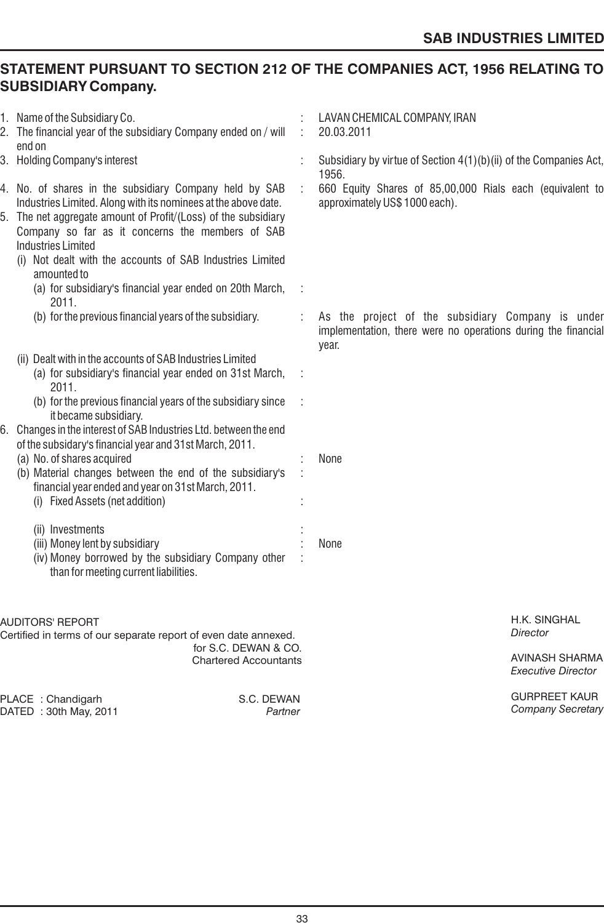# **STATEMENT PURSUANT TO SECTION 212 OF THE COMPANIES ACT, 1956 RELATING TO SUBSIDIARY Company.**

| 1. Name of the Subsidiary Co.<br>2. The financial year of the subsidiary Company ended on / will                                                                                                                                                                                                                                     |   | LAVAN CHEMICAL COMPANY, IRAN<br>20.03.2011                                                                                  |
|--------------------------------------------------------------------------------------------------------------------------------------------------------------------------------------------------------------------------------------------------------------------------------------------------------------------------------------|---|-----------------------------------------------------------------------------------------------------------------------------|
| end on<br>3. Holding Company's interest                                                                                                                                                                                                                                                                                              |   | Subsidiary by virtue of Section 4(1)(b)(ii) of the Companies Act,<br>1956.                                                  |
| 4. No. of shares in the subsidiary Company held by SAB<br>Industries Limited. Along with its nominees at the above date.<br>5. The net aggregate amount of Profit/(Loss) of the subsidiary<br>Company so far as it concerns the members of SAB<br><b>Industries Limited</b><br>Not dealt with the accounts of SAB Industries Limited |   | 660 Equity Shares of 85,00,000 Rials each (equivalent to<br>approximately US\$ 1000 each).                                  |
| amounted to<br>(a) for subsidiary's financial year ended on 20th March,<br>2011.                                                                                                                                                                                                                                                     |   |                                                                                                                             |
| (b) for the previous financial years of the subsidiary.                                                                                                                                                                                                                                                                              | ÷ | As the project of the subsidiary Company is under<br>implementation, there were no operations during the financial<br>year. |
| (ii) Dealt with in the accounts of SAB Industries Limited<br>(a) for subsidiary's financial year ended on 31st March,<br>2011.                                                                                                                                                                                                       |   |                                                                                                                             |
| (b) for the previous financial years of the subsidiary since<br>it became subsidiary.<br>Changes in the interest of SAB Industries Ltd. between the end                                                                                                                                                                              |   |                                                                                                                             |
| of the subsidary's financial year and 31st March, 2011.<br>(a) No. of shares acquired<br>(b) Material changes between the end of the subsidiary's<br>financial year ended and year on 31st March, 2011.<br>(i) Fixed Assets (net addition)                                                                                           |   | None                                                                                                                        |
| (ii) Investments<br>(iii) Money lent by subsidiary<br>(iv) Money borrowed by the subsidiary Company other<br>than for meeting current liabilities.                                                                                                                                                                                   |   | None                                                                                                                        |
| AUDITORS' REPORT<br>Certified in terms of our separate report of even date annexed.                                                                                                                                                                                                                                                  |   | H.K. SINGHAL<br>Director                                                                                                    |
| for S.C. DEWAN & CO.<br><b>Chartered Accountants</b>                                                                                                                                                                                                                                                                                 |   | <b>AVINASH SHARMA</b><br><b>Executive Director</b>                                                                          |
| PLACE: Chandigarh<br>S.C. DEWAN<br>DATED : 30th May, 2011<br>Partner                                                                                                                                                                                                                                                                 |   | <b>GURPREET KAUR</b><br><b>Company Secretary</b>                                                                            |
|                                                                                                                                                                                                                                                                                                                                      |   |                                                                                                                             |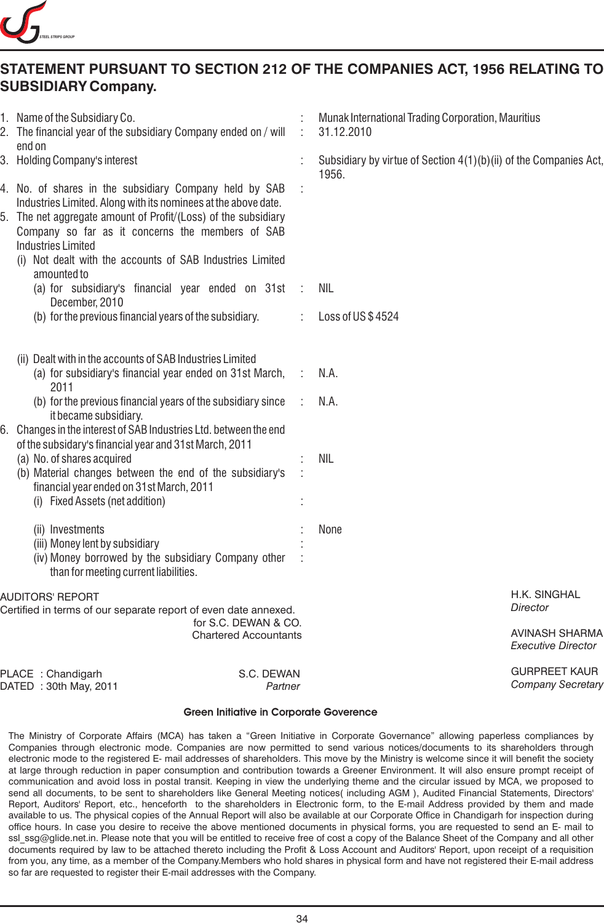

# **STATEMENT PURSUANT TO SECTION 212 OF THE COMPANIES ACT, 1956 RELATING TO SUBSIDIARY Company.**

|                                                                                                                                                    | 1. Name of the Subsidiary Co.<br>2. The financial year of the subsidiary Company ended on / will<br>end on                                                                                                                                                                                                                                                                                                                                                                                                                                                                                                                                                                           |               | Munak International Trading Corporation, Mauritius<br>31.12.2010           |
|----------------------------------------------------------------------------------------------------------------------------------------------------|--------------------------------------------------------------------------------------------------------------------------------------------------------------------------------------------------------------------------------------------------------------------------------------------------------------------------------------------------------------------------------------------------------------------------------------------------------------------------------------------------------------------------------------------------------------------------------------------------------------------------------------------------------------------------------------|---------------|----------------------------------------------------------------------------|
|                                                                                                                                                    | 3. Holding Company's interest                                                                                                                                                                                                                                                                                                                                                                                                                                                                                                                                                                                                                                                        |               | Subsidiary by virtue of Section 4(1)(b)(ii) of the Companies Act,<br>1956. |
|                                                                                                                                                    | 4. No. of shares in the subsidiary Company held by SAB<br>Industries Limited. Along with its nominees at the above date.<br>5. The net aggregate amount of Profit/(Loss) of the subsidiary<br>Company so far as it concerns the members of SAB<br><b>Industries Limited</b><br>(i) Not dealt with the accounts of SAB Industries Limited                                                                                                                                                                                                                                                                                                                                             |               |                                                                            |
|                                                                                                                                                    | amounted to<br>(a) for subsidiary's financial year ended on 31st<br>December, 2010                                                                                                                                                                                                                                                                                                                                                                                                                                                                                                                                                                                                   | $\ddot{\phi}$ | NIL                                                                        |
|                                                                                                                                                    | (b) for the previous financial years of the subsidiary.                                                                                                                                                                                                                                                                                                                                                                                                                                                                                                                                                                                                                              |               | Loss of US\$4524                                                           |
|                                                                                                                                                    | (ii) Dealt with in the accounts of SAB Industries Limited<br>(a) for subsidiary's financial year ended on 31st March,<br>2011<br>(b) for the previous financial years of the subsidiary since<br>it became subsidiary.<br>6. Changes in the interest of SAB Industries Ltd. between the end<br>of the subsidary's financial year and 31st March, 2011<br>(a) No. of shares acquired<br>(b) Material changes between the end of the subsidiary's<br>financial year ended on 31st March, 2011<br>(i) Fixed Assets (net addition)<br>(ii) Investments<br>(iii) Money lent by subsidiary<br>(iv) Money borrowed by the subsidiary Company other<br>than for meeting current liabilities. | ÷             | N.A.<br>N.A.<br><b>NIL</b><br>None                                         |
| <b>AUDITORS' REPORT</b><br>Certified in terms of our separate report of even date annexed.<br>for S.C. DEWAN & CO.<br><b>Chartered Accountants</b> |                                                                                                                                                                                                                                                                                                                                                                                                                                                                                                                                                                                                                                                                                      |               | H.K. SINGHAL<br><b>Director</b>                                            |
|                                                                                                                                                    |                                                                                                                                                                                                                                                                                                                                                                                                                                                                                                                                                                                                                                                                                      |               | <b>AVINASH SHARMA</b><br><b>Executive Director</b>                         |
|                                                                                                                                                    | PLACE: Chandigarh<br>S.C. DEWAN<br>DATED: 30th May, 2011<br>Partner                                                                                                                                                                                                                                                                                                                                                                                                                                                                                                                                                                                                                  |               | <b>GURPREET KAUR</b><br><b>Company Secretary</b>                           |
|                                                                                                                                                    |                                                                                                                                                                                                                                                                                                                                                                                                                                                                                                                                                                                                                                                                                      |               |                                                                            |

#### **Green Initiative in Corporate Goverence**

The Ministry of Corporate Affairs (MCA) has taken a "Green Initiative in Corporate Governance" allowing paperless compliances by Companies through electronic mode. Companies are now permitted to send various notices/documents to its shareholders through electronic mode to the registered E- mail addresses of shareholders. This move by the Ministry is welcome since it will benefit the society at large through reduction in paper consumption and contribution towards a Greener Environment. It will also ensure prompt receipt of communication and avoid loss in postal transit. Keeping in view the underlying theme and the circular issued by MCA, we proposed to send all documents, to be sent to shareholders like General Meeting notices( including AGM ), Audited Financial Statements, Directors' Report, Auditors' Report, etc., henceforth to the shareholders in Electronic form, to the E-mail Address provided by them and made available to us. The physical copies of the Annual Report will also be available at our Corporate Office in Chandigarh for inspection during office hours. In case you desire to receive the above mentioned documents in physical forms, you are requested to send an E- mail to ssl ssg@glide.net.in. Please note that you will be entitled to receive free of cost a copy of the Balance Sheet of the Company and all other documents required by law to be attached thereto including the Profit & Loss Account and Auditors' Report, upon receipt of a requisition from you, any time, as a member of the Company.Members who hold shares in physical form and have not registered their E-mail address so far are requested to register their E-mail addresses with the Company.